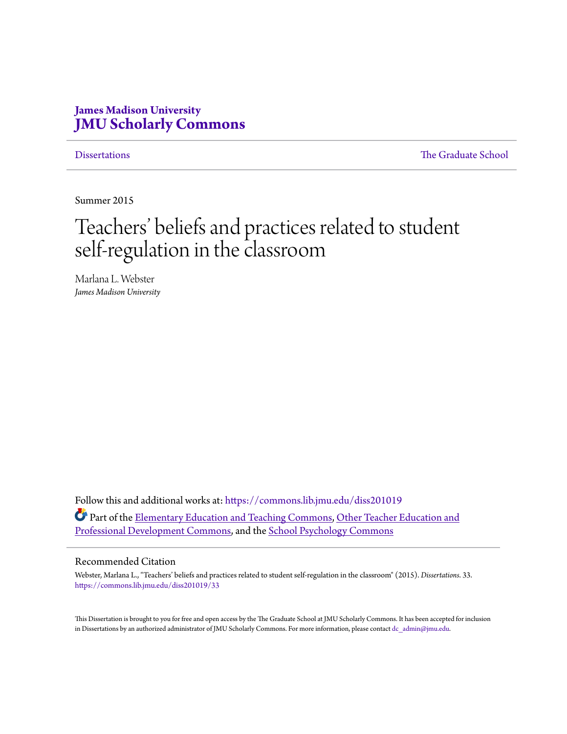# **James Madison University [JMU Scholarly Commons](https://commons.lib.jmu.edu/?utm_source=commons.lib.jmu.edu%2Fdiss201019%2F33&utm_medium=PDF&utm_campaign=PDFCoverPages)**

[Dissertations](https://commons.lib.jmu.edu/diss201019?utm_source=commons.lib.jmu.edu%2Fdiss201019%2F33&utm_medium=PDF&utm_campaign=PDFCoverPages) [The Graduate School](https://commons.lib.jmu.edu/grad?utm_source=commons.lib.jmu.edu%2Fdiss201019%2F33&utm_medium=PDF&utm_campaign=PDFCoverPages)

Summer 2015

# Teachers' beliefs and practices related to student self-regulation in the classroom

Marlana L. Webster *James Madison University*

Follow this and additional works at: [https://commons.lib.jmu.edu/diss201019](https://commons.lib.jmu.edu/diss201019?utm_source=commons.lib.jmu.edu%2Fdiss201019%2F33&utm_medium=PDF&utm_campaign=PDFCoverPages) Part of the [Elementary Education and Teaching Commons,](http://network.bepress.com/hgg/discipline/805?utm_source=commons.lib.jmu.edu%2Fdiss201019%2F33&utm_medium=PDF&utm_campaign=PDFCoverPages) [Other Teacher Education and](http://network.bepress.com/hgg/discipline/810?utm_source=commons.lib.jmu.edu%2Fdiss201019%2F33&utm_medium=PDF&utm_campaign=PDFCoverPages) [Professional Development Commons,](http://network.bepress.com/hgg/discipline/810?utm_source=commons.lib.jmu.edu%2Fdiss201019%2F33&utm_medium=PDF&utm_campaign=PDFCoverPages) and the [School Psychology Commons](http://network.bepress.com/hgg/discipline/1072?utm_source=commons.lib.jmu.edu%2Fdiss201019%2F33&utm_medium=PDF&utm_campaign=PDFCoverPages)

# Recommended Citation

Webster, Marlana L., "Teachers' beliefs and practices related to student self-regulation in the classroom" (2015). *Dissertations*. 33. [https://commons.lib.jmu.edu/diss201019/33](https://commons.lib.jmu.edu/diss201019/33?utm_source=commons.lib.jmu.edu%2Fdiss201019%2F33&utm_medium=PDF&utm_campaign=PDFCoverPages)

This Dissertation is brought to you for free and open access by the The Graduate School at JMU Scholarly Commons. It has been accepted for inclusion in Dissertations by an authorized administrator of JMU Scholarly Commons. For more information, please contact [dc\\_admin@jmu.edu](mailto:dc_admin@jmu.edu).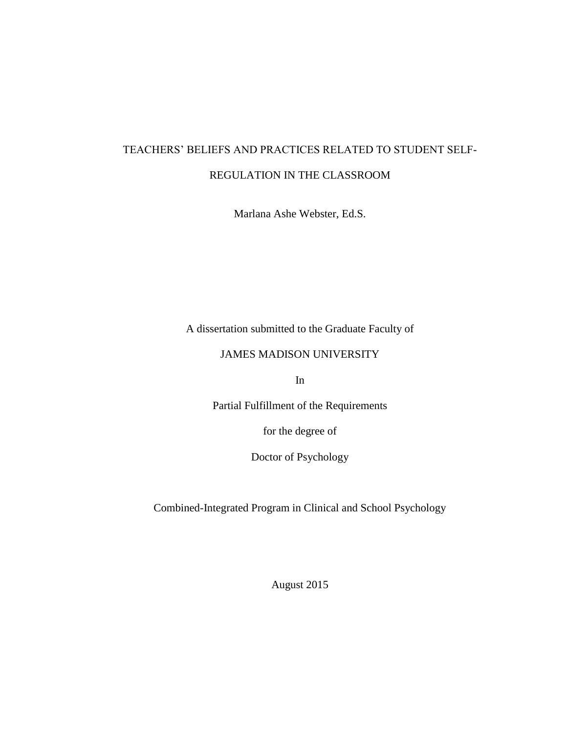# TEACHERS' BELIEFS AND PRACTICES RELATED TO STUDENT SELF-REGULATION IN THE CLASSROOM

Marlana Ashe Webster, Ed.S.

A dissertation submitted to the Graduate Faculty of

# JAMES MADISON UNIVERSITY

In

Partial Fulfillment of the Requirements

for the degree of

Doctor of Psychology

Combined-Integrated Program in Clinical and School Psychology

August 2015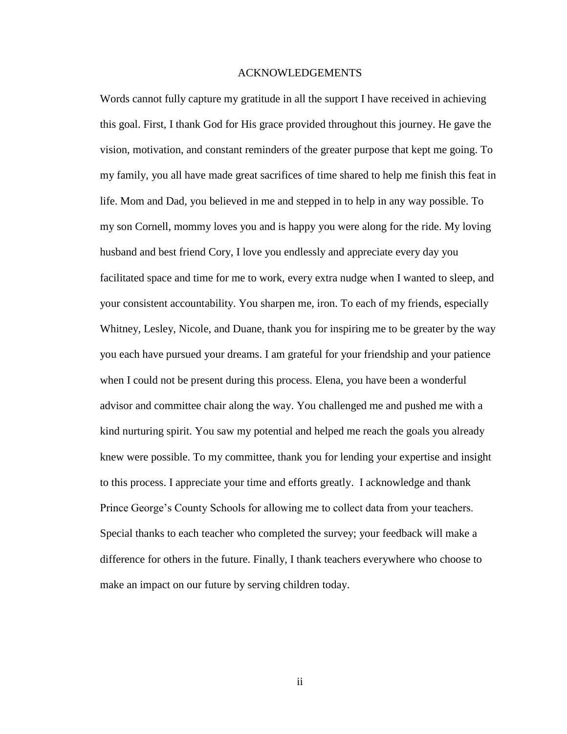#### ACKNOWLEDGEMENTS

Words cannot fully capture my gratitude in all the support I have received in achieving this goal. First, I thank God for His grace provided throughout this journey. He gave the vision, motivation, and constant reminders of the greater purpose that kept me going. To my family, you all have made great sacrifices of time shared to help me finish this feat in life. Mom and Dad, you believed in me and stepped in to help in any way possible. To my son Cornell, mommy loves you and is happy you were along for the ride. My loving husband and best friend Cory, I love you endlessly and appreciate every day you facilitated space and time for me to work, every extra nudge when I wanted to sleep, and your consistent accountability. You sharpen me, iron. To each of my friends, especially Whitney, Lesley, Nicole, and Duane, thank you for inspiring me to be greater by the way you each have pursued your dreams. I am grateful for your friendship and your patience when I could not be present during this process. Elena, you have been a wonderful advisor and committee chair along the way. You challenged me and pushed me with a kind nurturing spirit. You saw my potential and helped me reach the goals you already knew were possible. To my committee, thank you for lending your expertise and insight to this process. I appreciate your time and efforts greatly. I acknowledge and thank Prince George's County Schools for allowing me to collect data from your teachers. Special thanks to each teacher who completed the survey; your feedback will make a difference for others in the future. Finally, I thank teachers everywhere who choose to make an impact on our future by serving children today.

ii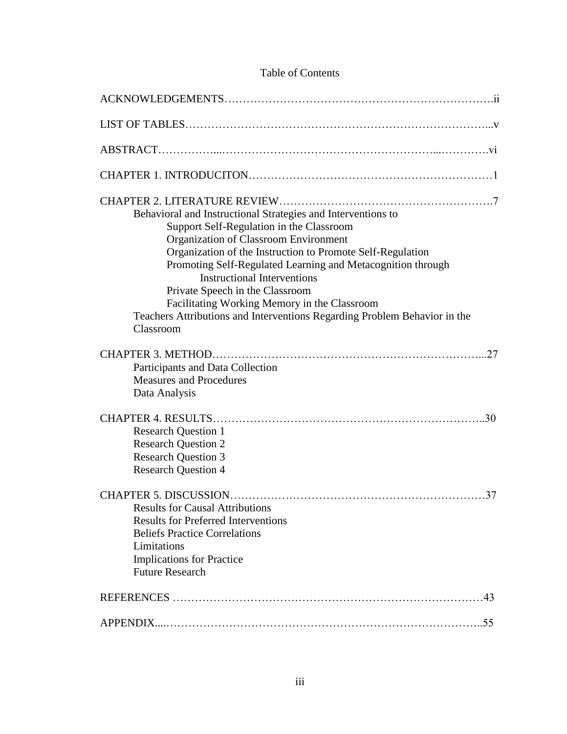# Table of Contents

| Behavioral and Instructional Strategies and Interventions to<br>Support Self-Regulation in the Classroom<br>Organization of Classroom Environment<br>Organization of the Instruction to Promote Self-Regulation<br>Promoting Self-Regulated Learning and Metacognition through<br><b>Instructional Interventions</b><br>Private Speech in the Classroom<br>Facilitating Working Memory in the Classroom<br>Teachers Attributions and Interventions Regarding Problem Behavior in the<br>Classroom |
|---------------------------------------------------------------------------------------------------------------------------------------------------------------------------------------------------------------------------------------------------------------------------------------------------------------------------------------------------------------------------------------------------------------------------------------------------------------------------------------------------|
| .27<br>Participants and Data Collection<br><b>Measures and Procedures</b><br>Data Analysis                                                                                                                                                                                                                                                                                                                                                                                                        |
| <b>Research Question 1</b><br><b>Research Question 2</b><br><b>Research Question 3</b><br><b>Research Question 4</b>                                                                                                                                                                                                                                                                                                                                                                              |
| <b>Results for Causal Attributions</b><br><b>Results for Preferred Interventions</b><br><b>Beliefs Practice Correlations</b><br>Limitations<br><b>Implications for Practice</b><br><b>Future Research</b>                                                                                                                                                                                                                                                                                         |
|                                                                                                                                                                                                                                                                                                                                                                                                                                                                                                   |
|                                                                                                                                                                                                                                                                                                                                                                                                                                                                                                   |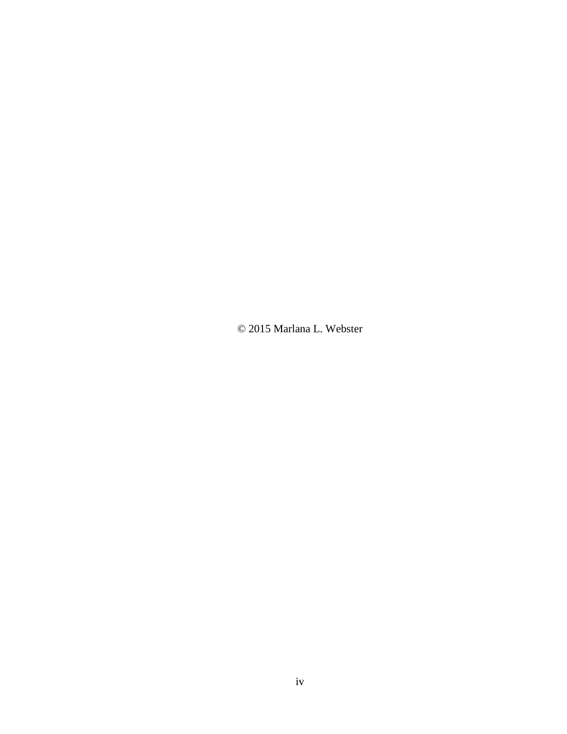© 2015 Marlana L. Webster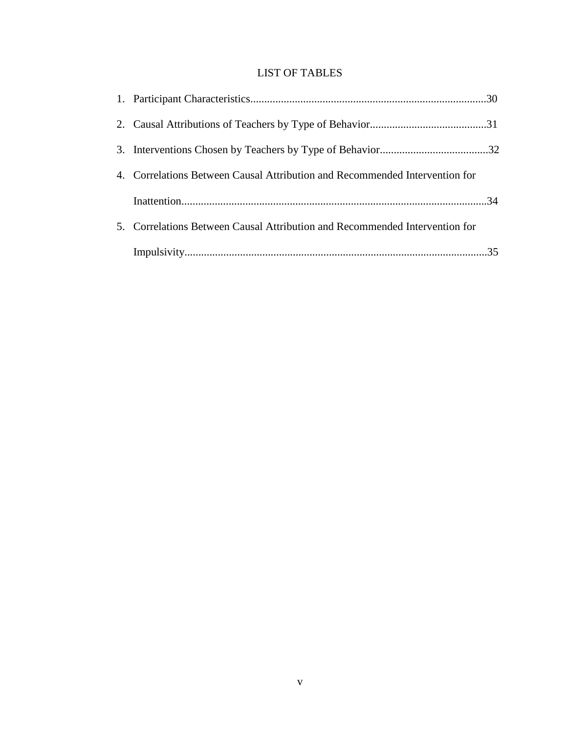# LIST OF TABLES

| 4. Correlations Between Causal Attribution and Recommended Intervention for |  |
|-----------------------------------------------------------------------------|--|
|                                                                             |  |
| 5. Correlations Between Causal Attribution and Recommended Intervention for |  |
|                                                                             |  |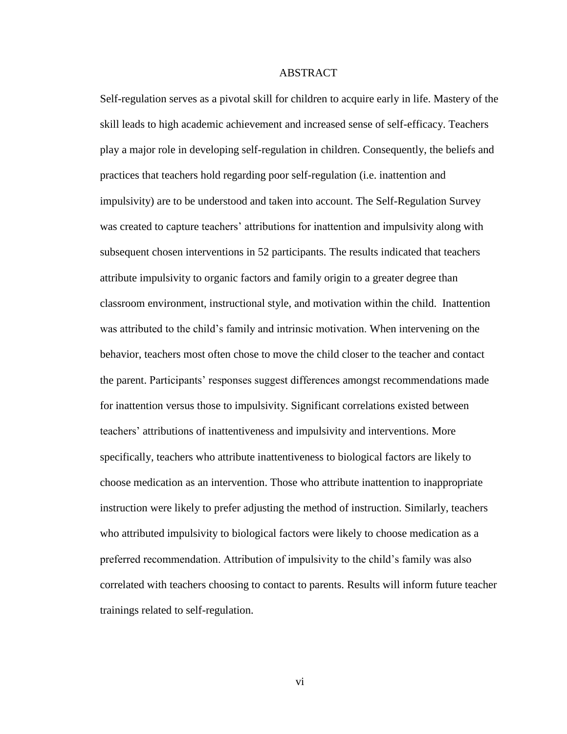# ABSTRACT

Self-regulation serves as a pivotal skill for children to acquire early in life. Mastery of the skill leads to high academic achievement and increased sense of self-efficacy. Teachers play a major role in developing self-regulation in children. Consequently, the beliefs and practices that teachers hold regarding poor self-regulation (i.e. inattention and impulsivity) are to be understood and taken into account. The Self-Regulation Survey was created to capture teachers' attributions for inattention and impulsivity along with subsequent chosen interventions in 52 participants. The results indicated that teachers attribute impulsivity to organic factors and family origin to a greater degree than classroom environment, instructional style, and motivation within the child. Inattention was attributed to the child's family and intrinsic motivation. When intervening on the behavior, teachers most often chose to move the child closer to the teacher and contact the parent. Participants' responses suggest differences amongst recommendations made for inattention versus those to impulsivity. Significant correlations existed between teachers' attributions of inattentiveness and impulsivity and interventions. More specifically, teachers who attribute inattentiveness to biological factors are likely to choose medication as an intervention. Those who attribute inattention to inappropriate instruction were likely to prefer adjusting the method of instruction. Similarly, teachers who attributed impulsivity to biological factors were likely to choose medication as a preferred recommendation. Attribution of impulsivity to the child's family was also correlated with teachers choosing to contact to parents. Results will inform future teacher trainings related to self-regulation.

vi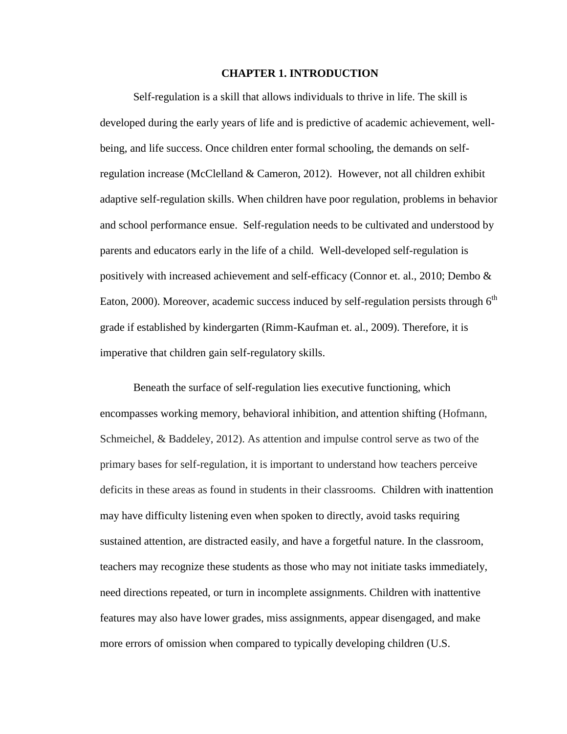# **CHAPTER 1. INTRODUCTION**

Self-regulation is a skill that allows individuals to thrive in life. The skill is developed during the early years of life and is predictive of academic achievement, wellbeing, and life success. Once children enter formal schooling, the demands on selfregulation increase (McClelland & Cameron, 2012). However, not all children exhibit adaptive self-regulation skills. When children have poor regulation, problems in behavior and school performance ensue. Self-regulation needs to be cultivated and understood by parents and educators early in the life of a child. Well-developed self-regulation is positively with increased achievement and self-efficacy (Connor et. al., 2010; Dembo & Eaton, 2000). Moreover, academic success induced by self-regulation persists through  $6<sup>th</sup>$ grade if established by kindergarten (Rimm-Kaufman et. al., 2009). Therefore, it is imperative that children gain self-regulatory skills.

Beneath the surface of self-regulation lies executive functioning, which encompasses working memory, behavioral inhibition, and attention shifting (Hofmann, Schmeichel, & Baddeley, 2012). As attention and impulse control serve as two of the primary bases for self-regulation, it is important to understand how teachers perceive deficits in these areas as found in students in their classrooms. Children with inattention may have difficulty listening even when spoken to directly, avoid tasks requiring sustained attention, are distracted easily, and have a forgetful nature. In the classroom, teachers may recognize these students as those who may not initiate tasks immediately, need directions repeated, or turn in incomplete assignments. Children with inattentive features may also have lower grades, miss assignments, appear disengaged, and make more errors of omission when compared to typically developing children (U.S.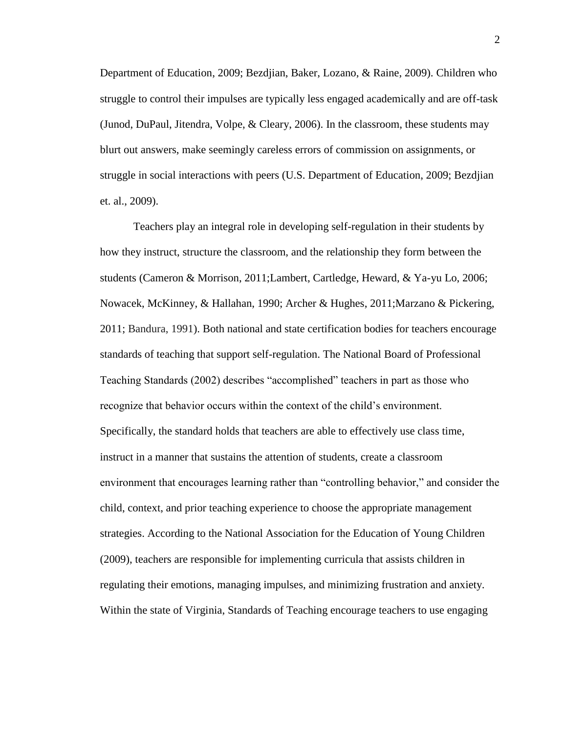Department of Education, 2009; Bezdjian, Baker, Lozano, & Raine, 2009). Children who struggle to control their impulses are typically less engaged academically and are off-task (Junod, DuPaul, Jitendra, Volpe, & Cleary, 2006). In the classroom, these students may blurt out answers, make seemingly careless errors of commission on assignments, or struggle in social interactions with peers (U.S. Department of Education, 2009; Bezdjian et. al., 2009).

Teachers play an integral role in developing self-regulation in their students by how they instruct, structure the classroom, and the relationship they form between the students (Cameron & Morrison, 2011;Lambert, Cartledge, Heward, & Ya-yu Lo, 2006; Nowacek, McKinney, & Hallahan, 1990; Archer & Hughes, 2011;Marzano & Pickering, 2011; Bandura, 1991). Both national and state certification bodies for teachers encourage standards of teaching that support self-regulation. The National Board of Professional Teaching Standards (2002) describes "accomplished" teachers in part as those who recognize that behavior occurs within the context of the child's environment. Specifically, the standard holds that teachers are able to effectively use class time, instruct in a manner that sustains the attention of students, create a classroom environment that encourages learning rather than "controlling behavior," and consider the child, context, and prior teaching experience to choose the appropriate management strategies. According to the National Association for the Education of Young Children (2009), teachers are responsible for implementing curricula that assists children in regulating their emotions, managing impulses, and minimizing frustration and anxiety. Within the state of Virginia, Standards of Teaching encourage teachers to use engaging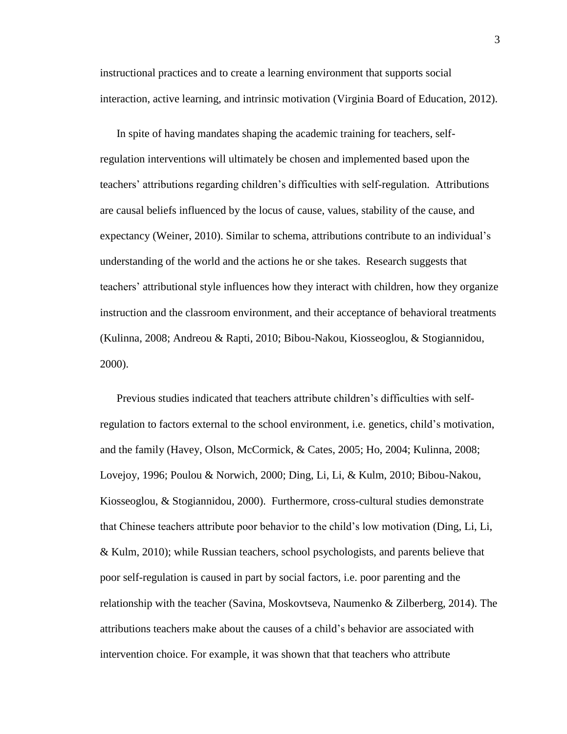instructional practices and to create a learning environment that supports social interaction, active learning, and intrinsic motivation (Virginia Board of Education, 2012).

In spite of having mandates shaping the academic training for teachers, selfregulation interventions will ultimately be chosen and implemented based upon the teachers' attributions regarding children's difficulties with self-regulation. Attributions are causal beliefs influenced by the locus of cause, values, stability of the cause, and expectancy (Weiner, 2010). Similar to schema, attributions contribute to an individual's understanding of the world and the actions he or she takes. Research suggests that teachers' attributional style influences how they interact with children, how they organize instruction and the classroom environment, and their acceptance of behavioral treatments (Kulinna, 2008; Andreou & Rapti, 2010; Bibou-Nakou, Kiosseoglou, & Stogiannidou, 2000).

Previous studies indicated that teachers attribute children's difficulties with selfregulation to factors external to the school environment, i.e. genetics, child's motivation, and the family (Havey, Olson, McCormick, & Cates, 2005; Ho, 2004; Kulinna, 2008; Lovejoy, 1996; Poulou & Norwich, 2000; Ding, Li, Li, & Kulm, 2010; Bibou-Nakou, Kiosseoglou, & Stogiannidou, 2000). Furthermore, cross-cultural studies demonstrate that Chinese teachers attribute poor behavior to the child's low motivation (Ding, Li, Li, & Kulm, 2010); while Russian teachers, school psychologists, and parents believe that poor self-regulation is caused in part by social factors, i.e. poor parenting and the relationship with the teacher (Savina, Moskovtseva, Naumenko & Zilberberg, 2014). The attributions teachers make about the causes of a child's behavior are associated with intervention choice. For example, it was shown that that teachers who attribute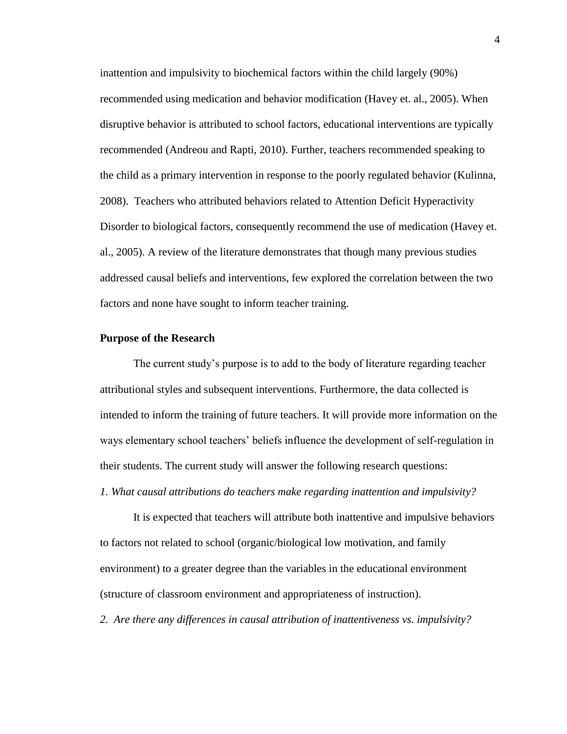inattention and impulsivity to biochemical factors within the child largely (90%) recommended using medication and behavior modification (Havey et. al., 2005). When disruptive behavior is attributed to school factors, educational interventions are typically recommended (Andreou and Rapti, 2010). Further, teachers recommended speaking to the child as a primary intervention in response to the poorly regulated behavior (Kulinna, 2008). Teachers who attributed behaviors related to Attention Deficit Hyperactivity Disorder to biological factors, consequently recommend the use of medication (Havey et. al., 2005). A review of the literature demonstrates that though many previous studies addressed causal beliefs and interventions, few explored the correlation between the two factors and none have sought to inform teacher training.

# **Purpose of the Research**

The current study's purpose is to add to the body of literature regarding teacher attributional styles and subsequent interventions. Furthermore, the data collected is intended to inform the training of future teachers. It will provide more information on the ways elementary school teachers' beliefs influence the development of self-regulation in their students. The current study will answer the following research questions:

*1. What causal attributions do teachers make regarding inattention and impulsivity?*

It is expected that teachers will attribute both inattentive and impulsive behaviors to factors not related to school (organic/biological low motivation, and family environment) to a greater degree than the variables in the educational environment (structure of classroom environment and appropriateness of instruction).

*2. Are there any differences in causal attribution of inattentiveness vs. impulsivity?*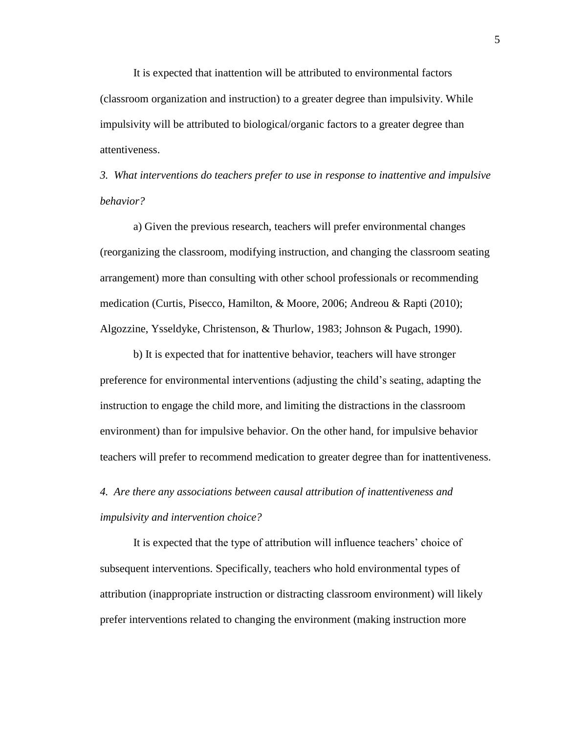It is expected that inattention will be attributed to environmental factors (classroom organization and instruction) to a greater degree than impulsivity. While impulsivity will be attributed to biological/organic factors to a greater degree than attentiveness.

*3. What interventions do teachers prefer to use in response to inattentive and impulsive behavior?*

a) Given the previous research, teachers will prefer environmental changes (reorganizing the classroom, modifying instruction, and changing the classroom seating arrangement) more than consulting with other school professionals or recommending medication (Curtis, Pisecco, Hamilton, & Moore, 2006; Andreou & Rapti (2010); Algozzine, Ysseldyke, Christenson, & Thurlow, 1983; Johnson & Pugach, 1990).

b) It is expected that for inattentive behavior, teachers will have stronger preference for environmental interventions (adjusting the child's seating, adapting the instruction to engage the child more, and limiting the distractions in the classroom environment) than for impulsive behavior. On the other hand, for impulsive behavior teachers will prefer to recommend medication to greater degree than for inattentiveness.

*4. Are there any associations between causal attribution of inattentiveness and impulsivity and intervention choice?* 

It is expected that the type of attribution will influence teachers' choice of subsequent interventions. Specifically, teachers who hold environmental types of attribution (inappropriate instruction or distracting classroom environment) will likely prefer interventions related to changing the environment (making instruction more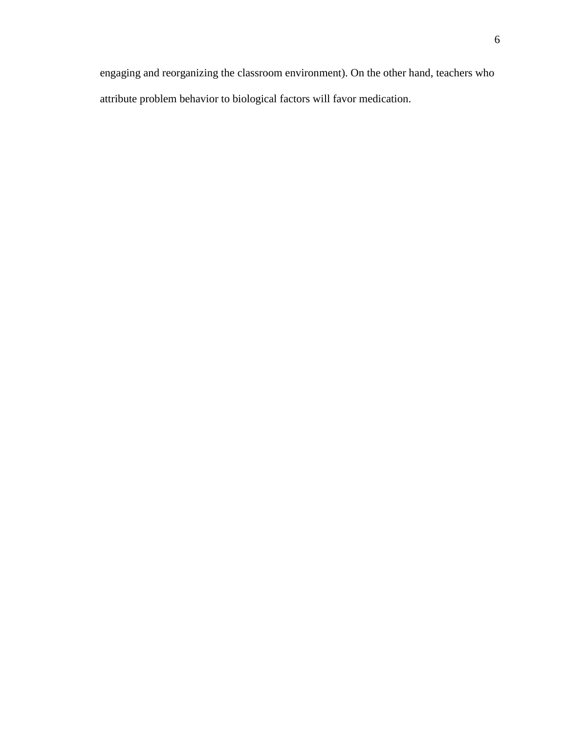engaging and reorganizing the classroom environment). On the other hand, teachers who attribute problem behavior to biological factors will favor medication.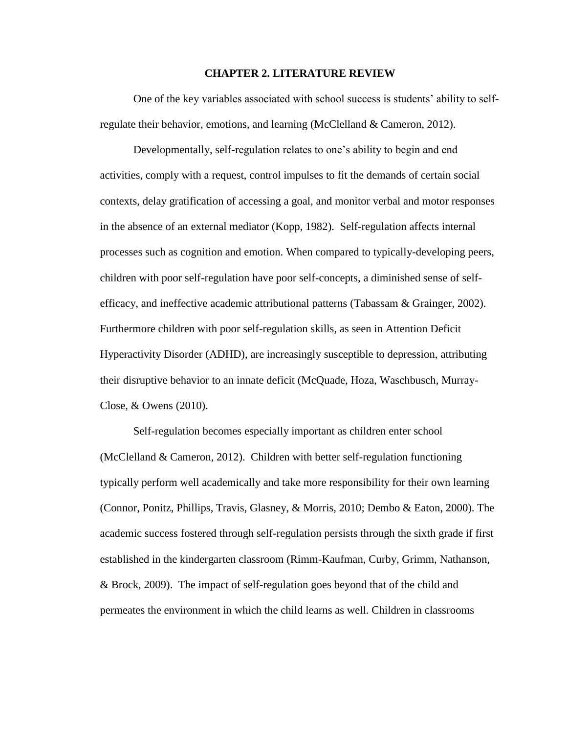### **CHAPTER 2. LITERATURE REVIEW**

One of the key variables associated with school success is students' ability to selfregulate their behavior, emotions, and learning (McClelland & Cameron, 2012).

Developmentally, self-regulation relates to one's ability to begin and end activities, comply with a request, control impulses to fit the demands of certain social contexts, delay gratification of accessing a goal, and monitor verbal and motor responses in the absence of an external mediator (Kopp, 1982). Self-regulation affects internal processes such as cognition and emotion. When compared to typically-developing peers, children with poor self-regulation have poor self-concepts, a diminished sense of selfefficacy, and ineffective academic attributional patterns (Tabassam & Grainger, 2002). Furthermore children with poor self-regulation skills, as seen in Attention Deficit Hyperactivity Disorder (ADHD), are increasingly susceptible to depression, attributing their disruptive behavior to an innate deficit (McQuade, Hoza, Waschbusch, Murray-Close, & Owens (2010).

Self-regulation becomes especially important as children enter school (McClelland & Cameron, 2012). Children with better self-regulation functioning typically perform well academically and take more responsibility for their own learning (Connor, Ponitz, Phillips, Travis, Glasney, & Morris, 2010; Dembo & Eaton, 2000). The academic success fostered through self-regulation persists through the sixth grade if first established in the kindergarten classroom (Rimm-Kaufman, Curby, Grimm, Nathanson, & Brock, 2009). The impact of self-regulation goes beyond that of the child and permeates the environment in which the child learns as well. Children in classrooms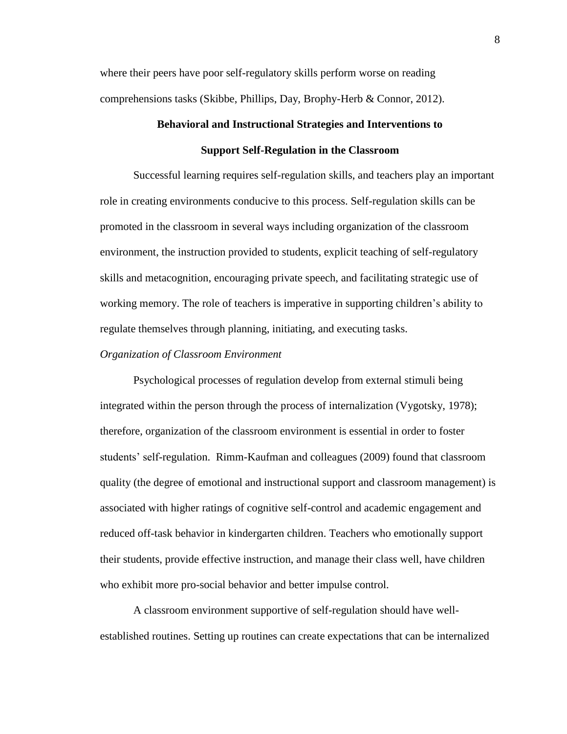where their peers have poor self-regulatory skills perform worse on reading comprehensions tasks (Skibbe, Phillips, Day, Brophy-Herb & Connor, 2012).

# **Behavioral and Instructional Strategies and Interventions to Support Self-Regulation in the Classroom**

Successful learning requires self-regulation skills, and teachers play an important role in creating environments conducive to this process. Self-regulation skills can be promoted in the classroom in several ways including organization of the classroom environment, the instruction provided to students, explicit teaching of self-regulatory skills and metacognition, encouraging private speech, and facilitating strategic use of working memory. The role of teachers is imperative in supporting children's ability to regulate themselves through planning, initiating, and executing tasks.

#### *Organization of Classroom Environment*

Psychological processes of regulation develop from external stimuli being integrated within the person through the process of internalization (Vygotsky, 1978); therefore, organization of the classroom environment is essential in order to foster students' self-regulation. Rimm-Kaufman and colleagues (2009) found that classroom quality (the degree of emotional and instructional support and classroom management) is associated with higher ratings of cognitive self-control and academic engagement and reduced off-task behavior in kindergarten children. Teachers who emotionally support their students, provide effective instruction, and manage their class well, have children who exhibit more pro-social behavior and better impulse control.

A classroom environment supportive of self-regulation should have wellestablished routines. Setting up routines can create expectations that can be internalized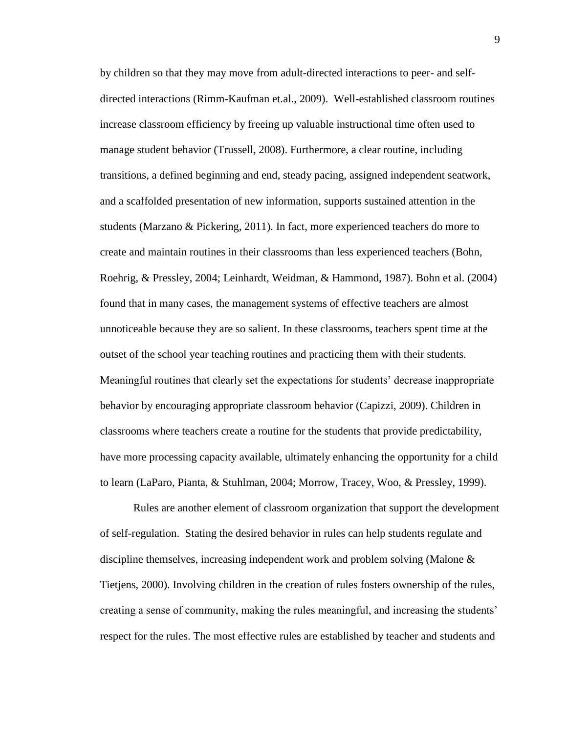by children so that they may move from adult-directed interactions to peer- and selfdirected interactions (Rimm-Kaufman et.al., 2009). Well-established classroom routines increase classroom efficiency by freeing up valuable instructional time often used to manage student behavior (Trussell, 2008). Furthermore, a clear routine, including transitions, a defined beginning and end, steady pacing, assigned independent seatwork, and a scaffolded presentation of new information, supports sustained attention in the students (Marzano & Pickering, 2011). In fact, more experienced teachers do more to create and maintain routines in their classrooms than less experienced teachers (Bohn, Roehrig, & Pressley, 2004; Leinhardt, Weidman, & Hammond, 1987). Bohn et al. (2004) found that in many cases, the management systems of effective teachers are almost unnoticeable because they are so salient. In these classrooms, teachers spent time at the outset of the school year teaching routines and practicing them with their students. Meaningful routines that clearly set the expectations for students' decrease inappropriate behavior by encouraging appropriate classroom behavior (Capizzi, 2009). Children in classrooms where teachers create a routine for the students that provide predictability, have more processing capacity available, ultimately enhancing the opportunity for a child to learn (LaParo, Pianta, & Stuhlman, 2004; Morrow, Tracey, Woo, & Pressley, 1999).

Rules are another element of classroom organization that support the development of self-regulation. Stating the desired behavior in rules can help students regulate and discipline themselves, increasing independent work and problem solving (Malone & Tietjens, 2000). Involving children in the creation of rules fosters ownership of the rules, creating a sense of community, making the rules meaningful, and increasing the students' respect for the rules. The most effective rules are established by teacher and students and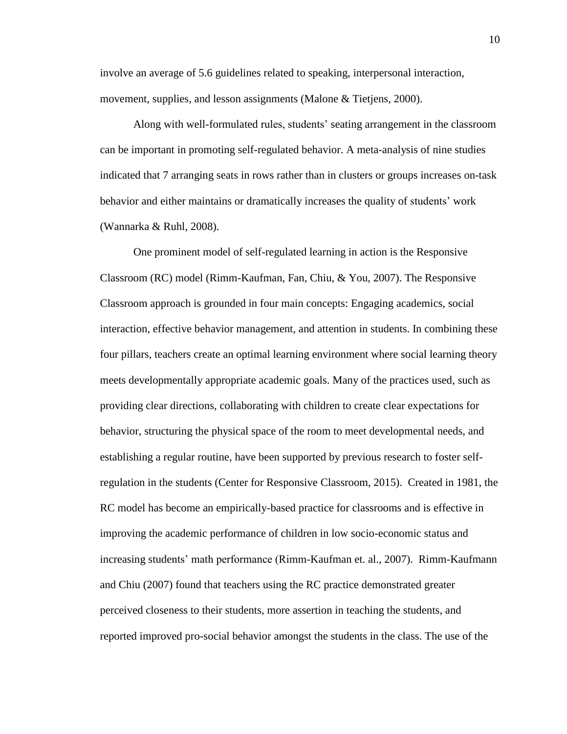involve an average of 5.6 guidelines related to speaking, interpersonal interaction, movement, supplies, and lesson assignments (Malone & Tietjens, 2000).

Along with well-formulated rules, students' seating arrangement in the classroom can be important in promoting self-regulated behavior. A meta-analysis of nine studies indicated that 7 arranging seats in rows rather than in clusters or groups increases on-task behavior and either maintains or dramatically increases the quality of students' work (Wannarka & Ruhl, 2008).

One prominent model of self-regulated learning in action is the Responsive Classroom (RC) model (Rimm-Kaufman, Fan, Chiu, & You, 2007). The Responsive Classroom approach is grounded in four main concepts: Engaging academics, social interaction, effective behavior management, and attention in students. In combining these four pillars, teachers create an optimal learning environment where social learning theory meets developmentally appropriate academic goals. Many of the practices used, such as providing clear directions, collaborating with children to create clear expectations for behavior, structuring the physical space of the room to meet developmental needs, and establishing a regular routine, have been supported by previous research to foster selfregulation in the students (Center for Responsive Classroom, 2015). Created in 1981, the RC model has become an empirically-based practice for classrooms and is effective in improving the academic performance of children in low socio-economic status and increasing students' math performance (Rimm-Kaufman et. al., 2007). Rimm-Kaufmann and Chiu (2007) found that teachers using the RC practice demonstrated greater perceived closeness to their students, more assertion in teaching the students, and reported improved pro-social behavior amongst the students in the class. The use of the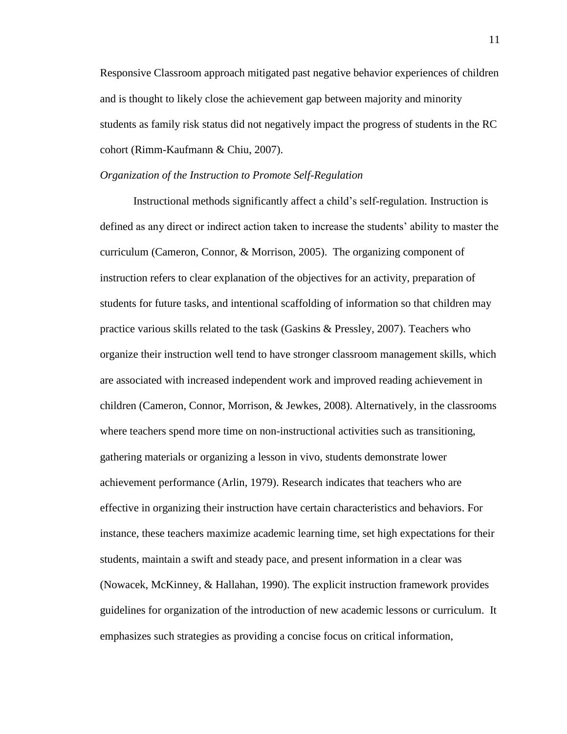Responsive Classroom approach mitigated past negative behavior experiences of children and is thought to likely close the achievement gap between majority and minority students as family risk status did not negatively impact the progress of students in the RC cohort (Rimm-Kaufmann & Chiu, 2007).

# *Organization of the Instruction to Promote Self-Regulation*

Instructional methods significantly affect a child's self-regulation. Instruction is defined as any direct or indirect action taken to increase the students' ability to master the curriculum (Cameron, Connor, & Morrison, 2005). The organizing component of instruction refers to clear explanation of the objectives for an activity, preparation of students for future tasks, and intentional scaffolding of information so that children may practice various skills related to the task (Gaskins & Pressley, 2007). Teachers who organize their instruction well tend to have stronger classroom management skills, which are associated with increased independent work and improved reading achievement in children (Cameron, Connor, Morrison, & Jewkes, 2008). Alternatively, in the classrooms where teachers spend more time on non-instructional activities such as transitioning, gathering materials or organizing a lesson in vivo, students demonstrate lower achievement performance (Arlin, 1979). Research indicates that teachers who are effective in organizing their instruction have certain characteristics and behaviors. For instance, these teachers maximize academic learning time, set high expectations for their students, maintain a swift and steady pace, and present information in a clear was (Nowacek, McKinney, & Hallahan, 1990). The explicit instruction framework provides guidelines for organization of the introduction of new academic lessons or curriculum. It emphasizes such strategies as providing a concise focus on critical information,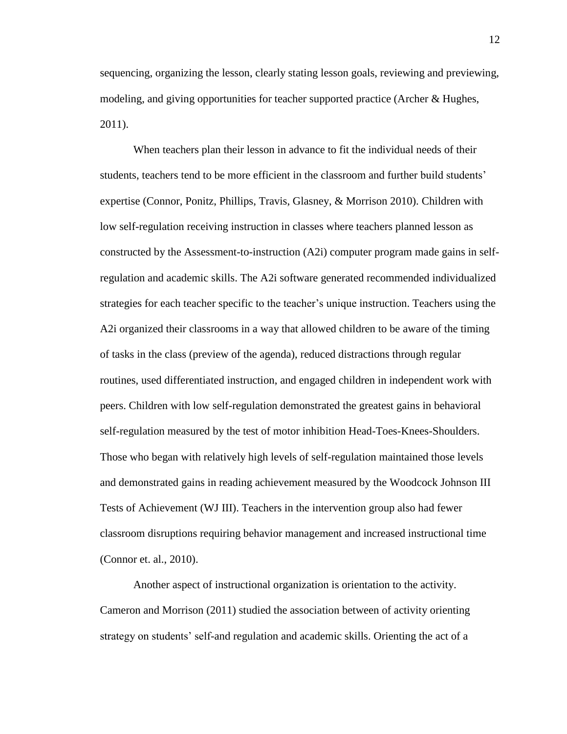sequencing, organizing the lesson, clearly stating lesson goals, reviewing and previewing, modeling, and giving opportunities for teacher supported practice (Archer & Hughes, 2011).

When teachers plan their lesson in advance to fit the individual needs of their students, teachers tend to be more efficient in the classroom and further build students' expertise (Connor, Ponitz, Phillips, Travis, Glasney, & Morrison 2010). Children with low self-regulation receiving instruction in classes where teachers planned lesson as constructed by the Assessment-to-instruction (A2i) computer program made gains in selfregulation and academic skills. The A2i software generated recommended individualized strategies for each teacher specific to the teacher's unique instruction. Teachers using the A2i organized their classrooms in a way that allowed children to be aware of the timing of tasks in the class (preview of the agenda), reduced distractions through regular routines, used differentiated instruction, and engaged children in independent work with peers. Children with low self-regulation demonstrated the greatest gains in behavioral self-regulation measured by the test of motor inhibition Head-Toes-Knees-Shoulders. Those who began with relatively high levels of self-regulation maintained those levels and demonstrated gains in reading achievement measured by the Woodcock Johnson III Tests of Achievement (WJ III). Teachers in the intervention group also had fewer classroom disruptions requiring behavior management and increased instructional time (Connor et. al., 2010).

Another aspect of instructional organization is orientation to the activity. Cameron and Morrison (2011) studied the association between of activity orienting strategy on students' self-and regulation and academic skills. Orienting the act of a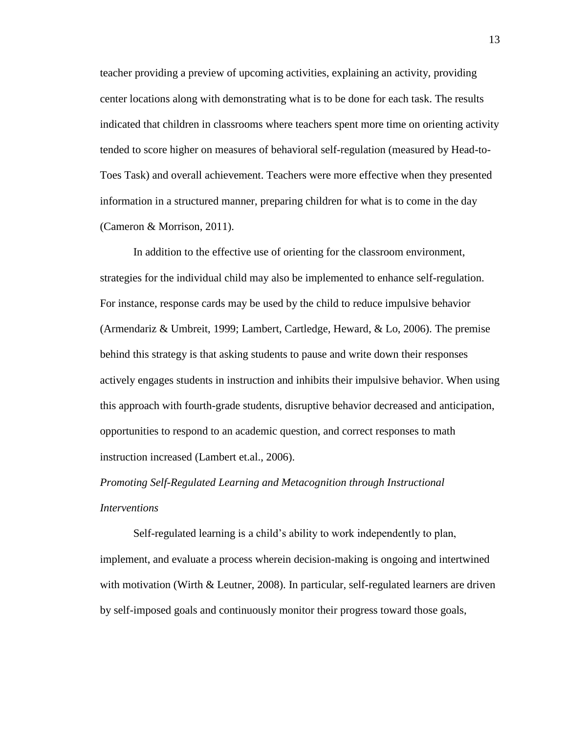teacher providing a preview of upcoming activities, explaining an activity, providing center locations along with demonstrating what is to be done for each task. The results indicated that children in classrooms where teachers spent more time on orienting activity tended to score higher on measures of behavioral self-regulation (measured by Head-to-Toes Task) and overall achievement. Teachers were more effective when they presented information in a structured manner, preparing children for what is to come in the day (Cameron & Morrison, 2011).

In addition to the effective use of orienting for the classroom environment, strategies for the individual child may also be implemented to enhance self-regulation. For instance, response cards may be used by the child to reduce impulsive behavior (Armendariz & Umbreit, 1999; Lambert, Cartledge, Heward, & Lo, 2006). The premise behind this strategy is that asking students to pause and write down their responses actively engages students in instruction and inhibits their impulsive behavior. When using this approach with fourth-grade students, disruptive behavior decreased and anticipation, opportunities to respond to an academic question, and correct responses to math instruction increased (Lambert et.al., 2006).

# *Promoting Self-Regulated Learning and Metacognition through Instructional Interventions*

Self-regulated learning is a child's ability to work independently to plan, implement, and evaluate a process wherein decision-making is ongoing and intertwined with motivation (Wirth  $\&$  Leutner, 2008). In particular, self-regulated learners are driven by self-imposed goals and continuously monitor their progress toward those goals,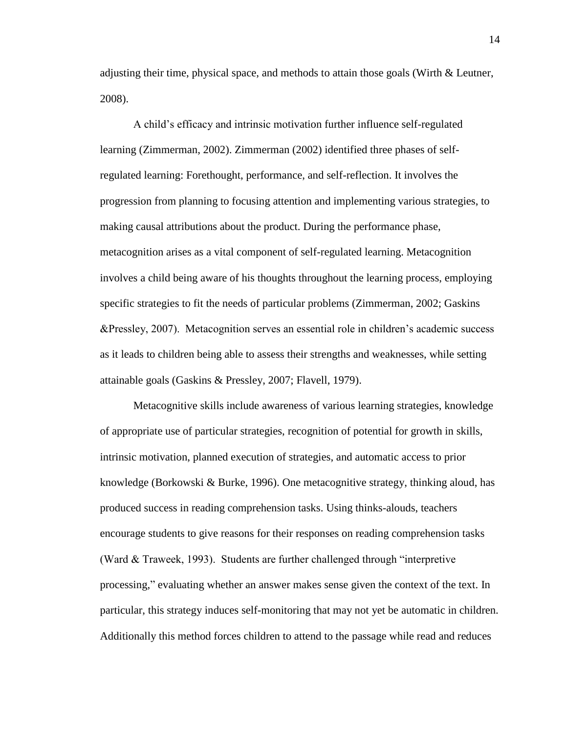adjusting their time, physical space, and methods to attain those goals (Wirth & Leutner, 2008).

A child's efficacy and intrinsic motivation further influence self-regulated learning (Zimmerman, 2002). Zimmerman (2002) identified three phases of selfregulated learning: Forethought, performance, and self-reflection. It involves the progression from planning to focusing attention and implementing various strategies, to making causal attributions about the product. During the performance phase, metacognition arises as a vital component of self-regulated learning. Metacognition involves a child being aware of his thoughts throughout the learning process, employing specific strategies to fit the needs of particular problems (Zimmerman, 2002; Gaskins &Pressley, 2007). Metacognition serves an essential role in children's academic success as it leads to children being able to assess their strengths and weaknesses, while setting attainable goals (Gaskins & Pressley, 2007; Flavell, 1979).

Metacognitive skills include awareness of various learning strategies, knowledge of appropriate use of particular strategies, recognition of potential for growth in skills, intrinsic motivation, planned execution of strategies, and automatic access to prior knowledge (Borkowski & Burke, 1996). One metacognitive strategy, thinking aloud, has produced success in reading comprehension tasks. Using thinks-alouds, teachers encourage students to give reasons for their responses on reading comprehension tasks (Ward & Traweek, 1993). Students are further challenged through "interpretive processing," evaluating whether an answer makes sense given the context of the text. In particular, this strategy induces self-monitoring that may not yet be automatic in children. Additionally this method forces children to attend to the passage while read and reduces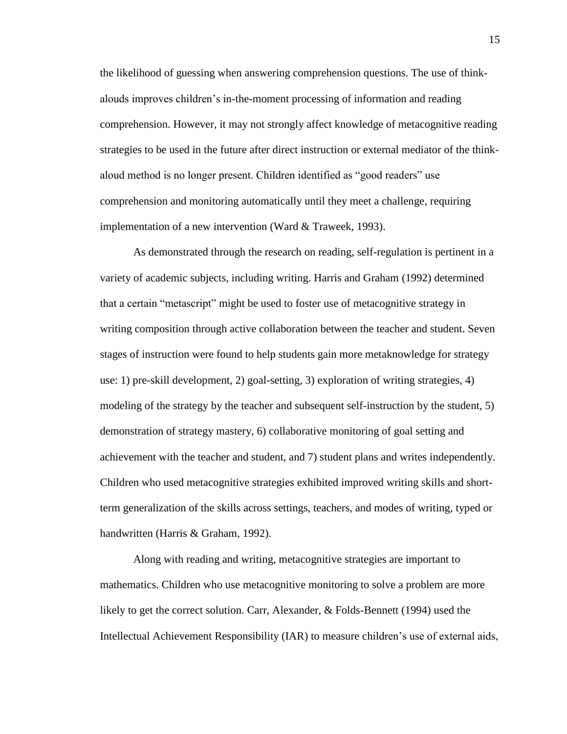the likelihood of guessing when answering comprehension questions. The use of thinkalouds improves children's in-the-moment processing of information and reading comprehension. However, it may not strongly affect knowledge of metacognitive reading strategies to be used in the future after direct instruction or external mediator of the thinkaloud method is no longer present. Children identified as "good readers" use comprehension and monitoring automatically until they meet a challenge, requiring implementation of a new intervention (Ward & Traweek, 1993).

As demonstrated through the research on reading, self-regulation is pertinent in a variety of academic subjects, including writing. Harris and Graham (1992) determined that a certain "metascript" might be used to foster use of metacognitive strategy in writing composition through active collaboration between the teacher and student. Seven stages of instruction were found to help students gain more metaknowledge for strategy use: 1) pre-skill development, 2) goal-setting, 3) exploration of writing strategies, 4) modeling of the strategy by the teacher and subsequent self-instruction by the student, 5) demonstration of strategy mastery, 6) collaborative monitoring of goal setting and achievement with the teacher and student, and 7) student plans and writes independently. Children who used metacognitive strategies exhibited improved writing skills and shortterm generalization of the skills across settings, teachers, and modes of writing, typed or handwritten (Harris & Graham, 1992).

Along with reading and writing, metacognitive strategies are important to mathematics. Children who use metacognitive monitoring to solve a problem are more likely to get the correct solution. Carr, Alexander, & Folds-Bennett (1994) used the Intellectual Achievement Responsibility (IAR) to measure children's use of external aids,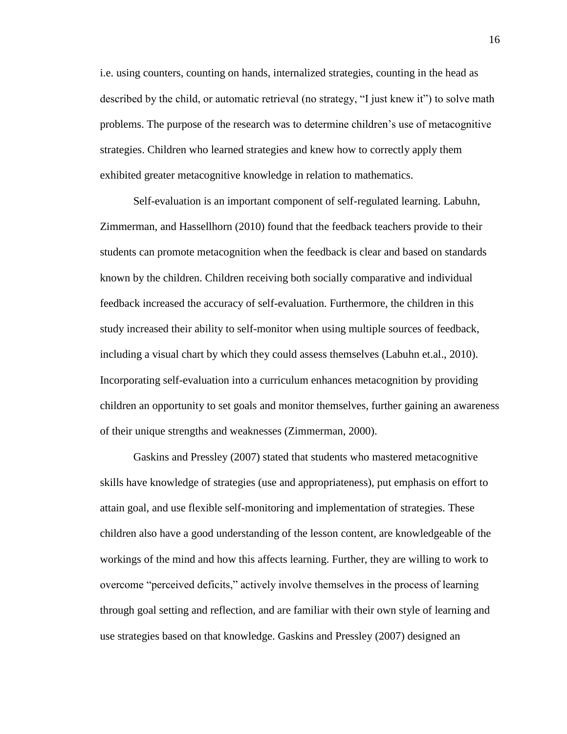i.e. using counters, counting on hands, internalized strategies, counting in the head as described by the child, or automatic retrieval (no strategy, "I just knew it") to solve math problems. The purpose of the research was to determine children's use of metacognitive strategies. Children who learned strategies and knew how to correctly apply them exhibited greater metacognitive knowledge in relation to mathematics.

Self-evaluation is an important component of self-regulated learning. Labuhn, Zimmerman, and Hassellhorn (2010) found that the feedback teachers provide to their students can promote metacognition when the feedback is clear and based on standards known by the children. Children receiving both socially comparative and individual feedback increased the accuracy of self-evaluation. Furthermore, the children in this study increased their ability to self-monitor when using multiple sources of feedback, including a visual chart by which they could assess themselves (Labuhn et.al., 2010). Incorporating self-evaluation into a curriculum enhances metacognition by providing children an opportunity to set goals and monitor themselves, further gaining an awareness of their unique strengths and weaknesses (Zimmerman, 2000).

Gaskins and Pressley (2007) stated that students who mastered metacognitive skills have knowledge of strategies (use and appropriateness), put emphasis on effort to attain goal, and use flexible self-monitoring and implementation of strategies. These children also have a good understanding of the lesson content, are knowledgeable of the workings of the mind and how this affects learning. Further, they are willing to work to overcome "perceived deficits," actively involve themselves in the process of learning through goal setting and reflection, and are familiar with their own style of learning and use strategies based on that knowledge. Gaskins and Pressley (2007) designed an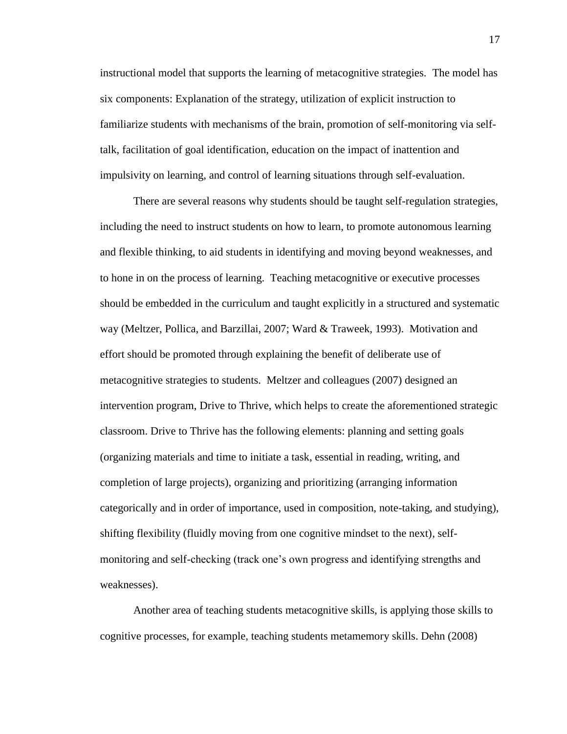instructional model that supports the learning of metacognitive strategies. The model has six components: Explanation of the strategy, utilization of explicit instruction to familiarize students with mechanisms of the brain, promotion of self-monitoring via selftalk, facilitation of goal identification, education on the impact of inattention and impulsivity on learning, and control of learning situations through self-evaluation.

There are several reasons why students should be taught self-regulation strategies, including the need to instruct students on how to learn, to promote autonomous learning and flexible thinking, to aid students in identifying and moving beyond weaknesses, and to hone in on the process of learning. Teaching metacognitive or executive processes should be embedded in the curriculum and taught explicitly in a structured and systematic way (Meltzer, Pollica, and Barzillai, 2007; Ward & Traweek, 1993). Motivation and effort should be promoted through explaining the benefit of deliberate use of metacognitive strategies to students. Meltzer and colleagues (2007) designed an intervention program, Drive to Thrive, which helps to create the aforementioned strategic classroom. Drive to Thrive has the following elements: planning and setting goals (organizing materials and time to initiate a task, essential in reading, writing, and completion of large projects), organizing and prioritizing (arranging information categorically and in order of importance, used in composition, note-taking, and studying), shifting flexibility (fluidly moving from one cognitive mindset to the next), selfmonitoring and self-checking (track one's own progress and identifying strengths and weaknesses).

Another area of teaching students metacognitive skills, is applying those skills to cognitive processes, for example, teaching students metamemory skills. Dehn (2008)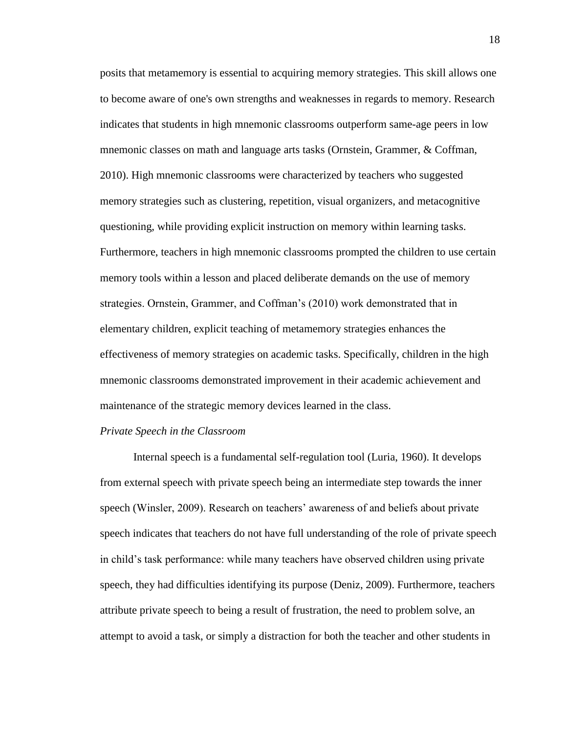posits that metamemory is essential to acquiring memory strategies. This skill allows one to become aware of one's own strengths and weaknesses in regards to memory. Research indicates that students in high mnemonic classrooms outperform same-age peers in low mnemonic classes on math and language arts tasks (Ornstein, Grammer, & Coffman, 2010). High mnemonic classrooms were characterized by teachers who suggested memory strategies such as clustering, repetition, visual organizers, and metacognitive questioning, while providing explicit instruction on memory within learning tasks. Furthermore, teachers in high mnemonic classrooms prompted the children to use certain memory tools within a lesson and placed deliberate demands on the use of memory strategies. Ornstein, Grammer, and Coffman's (2010) work demonstrated that in elementary children, explicit teaching of metamemory strategies enhances the effectiveness of memory strategies on academic tasks. Specifically, children in the high mnemonic classrooms demonstrated improvement in their academic achievement and maintenance of the strategic memory devices learned in the class.

#### *Private Speech in the Classroom*

Internal speech is a fundamental self-regulation tool (Luria, 1960). It develops from external speech with private speech being an intermediate step towards the inner speech (Winsler, 2009). Research on teachers' awareness of and beliefs about private speech indicates that teachers do not have full understanding of the role of private speech in child's task performance: while many teachers have observed children using private speech, they had difficulties identifying its purpose (Deniz, 2009). Furthermore, teachers attribute private speech to being a result of frustration, the need to problem solve, an attempt to avoid a task, or simply a distraction for both the teacher and other students in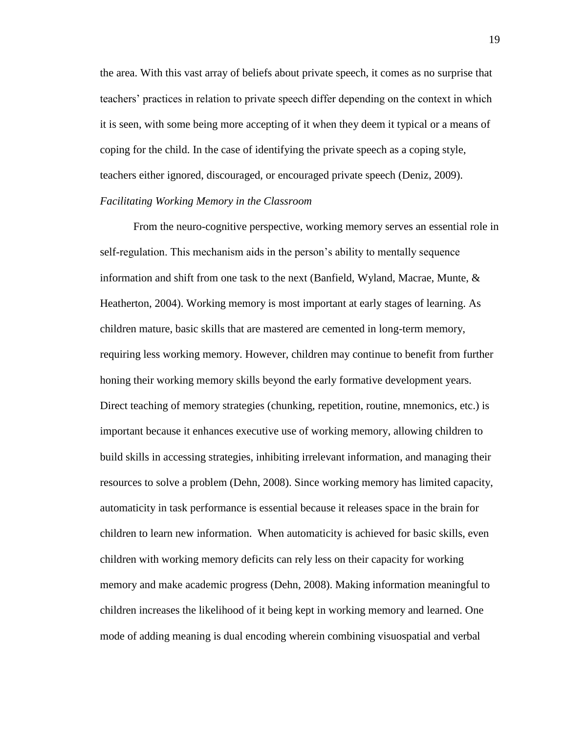the area. With this vast array of beliefs about private speech, it comes as no surprise that teachers' practices in relation to private speech differ depending on the context in which it is seen, with some being more accepting of it when they deem it typical or a means of coping for the child. In the case of identifying the private speech as a coping style, teachers either ignored, discouraged, or encouraged private speech (Deniz, 2009). *Facilitating Working Memory in the Classroom*

From the neuro-cognitive perspective, working memory serves an essential role in self-regulation. This mechanism aids in the person's ability to mentally sequence information and shift from one task to the next (Banfield, Wyland, Macrae, Munte,  $\&$ Heatherton, 2004). Working memory is most important at early stages of learning. As children mature, basic skills that are mastered are cemented in long-term memory, requiring less working memory. However, children may continue to benefit from further honing their working memory skills beyond the early formative development years. Direct teaching of memory strategies (chunking, repetition, routine, mnemonics, etc.) is important because it enhances executive use of working memory, allowing children to build skills in accessing strategies, inhibiting irrelevant information, and managing their resources to solve a problem (Dehn, 2008). Since working memory has limited capacity, automaticity in task performance is essential because it releases space in the brain for children to learn new information. When automaticity is achieved for basic skills, even children with working memory deficits can rely less on their capacity for working memory and make academic progress (Dehn, 2008). Making information meaningful to children increases the likelihood of it being kept in working memory and learned. One mode of adding meaning is dual encoding wherein combining visuospatial and verbal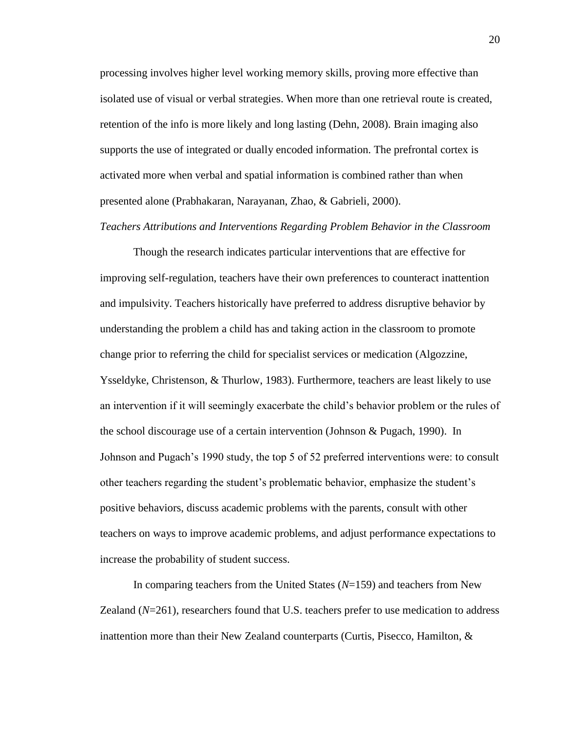processing involves higher level working memory skills, proving more effective than isolated use of visual or verbal strategies. When more than one retrieval route is created, retention of the info is more likely and long lasting (Dehn, 2008). Brain imaging also supports the use of integrated or dually encoded information. The prefrontal cortex is activated more when verbal and spatial information is combined rather than when presented alone (Prabhakaran, Narayanan, Zhao, & Gabrieli, 2000).

# *Teachers Attributions and Interventions Regarding Problem Behavior in the Classroom*

Though the research indicates particular interventions that are effective for improving self-regulation, teachers have their own preferences to counteract inattention and impulsivity. Teachers historically have preferred to address disruptive behavior by understanding the problem a child has and taking action in the classroom to promote change prior to referring the child for specialist services or medication (Algozzine, Ysseldyke, Christenson, & Thurlow, 1983). Furthermore, teachers are least likely to use an intervention if it will seemingly exacerbate the child's behavior problem or the rules of the school discourage use of a certain intervention (Johnson & Pugach, 1990). In Johnson and Pugach's 1990 study, the top 5 of 52 preferred interventions were: to consult other teachers regarding the student's problematic behavior, emphasize the student's positive behaviors, discuss academic problems with the parents, consult with other teachers on ways to improve academic problems, and adjust performance expectations to increase the probability of student success.

In comparing teachers from the United States (*N*=159) and teachers from New Zealand (*N*=261), researchers found that U.S. teachers prefer to use medication to address inattention more than their New Zealand counterparts (Curtis, Pisecco, Hamilton, &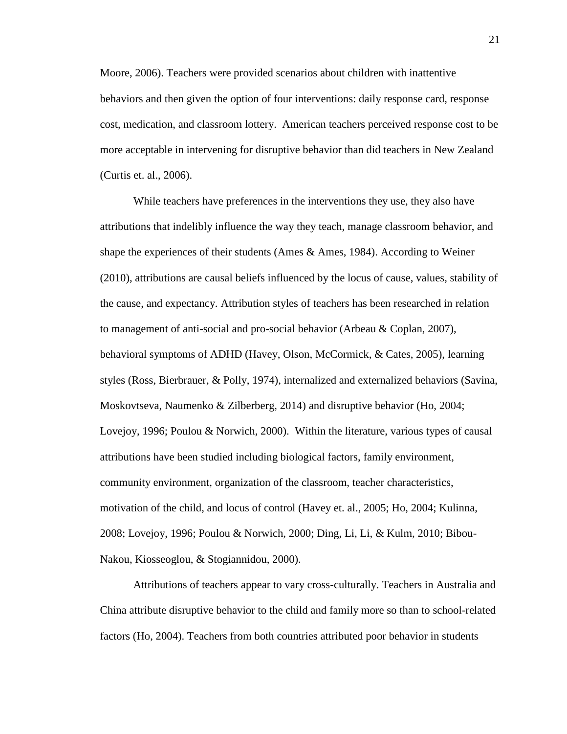Moore, 2006). Teachers were provided scenarios about children with inattentive behaviors and then given the option of four interventions: daily response card, response cost, medication, and classroom lottery. American teachers perceived response cost to be more acceptable in intervening for disruptive behavior than did teachers in New Zealand (Curtis et. al., 2006).

While teachers have preferences in the interventions they use, they also have attributions that indelibly influence the way they teach, manage classroom behavior, and shape the experiences of their students (Ames & Ames, 1984). According to Weiner (2010), attributions are causal beliefs influenced by the locus of cause, values, stability of the cause, and expectancy. Attribution styles of teachers has been researched in relation to management of anti-social and pro-social behavior (Arbeau & Coplan, 2007), behavioral symptoms of ADHD (Havey, Olson, McCormick, & Cates, 2005), learning styles (Ross, Bierbrauer, & Polly, 1974), internalized and externalized behaviors (Savina, Moskovtseva, Naumenko & Zilberberg, 2014) and disruptive behavior (Ho, 2004; Lovejoy, 1996; Poulou & Norwich, 2000). Within the literature, various types of causal attributions have been studied including biological factors, family environment, community environment, organization of the classroom, teacher characteristics, motivation of the child, and locus of control (Havey et. al., 2005; Ho, 2004; Kulinna, 2008; Lovejoy, 1996; Poulou & Norwich, 2000; Ding, Li, Li, & Kulm, 2010; Bibou-Nakou, Kiosseoglou, & Stogiannidou, 2000).

Attributions of teachers appear to vary cross-culturally. Teachers in Australia and China attribute disruptive behavior to the child and family more so than to school-related factors (Ho, 2004). Teachers from both countries attributed poor behavior in students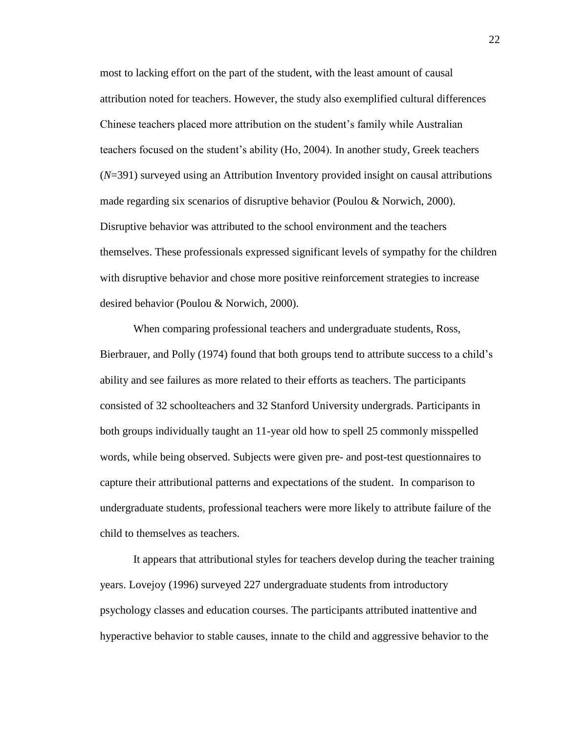most to lacking effort on the part of the student, with the least amount of causal attribution noted for teachers. However, the study also exemplified cultural differences Chinese teachers placed more attribution on the student's family while Australian teachers focused on the student's ability (Ho, 2004). In another study, Greek teachers (*N*=391) surveyed using an Attribution Inventory provided insight on causal attributions made regarding six scenarios of disruptive behavior (Poulou & Norwich, 2000). Disruptive behavior was attributed to the school environment and the teachers themselves. These professionals expressed significant levels of sympathy for the children with disruptive behavior and chose more positive reinforcement strategies to increase desired behavior (Poulou & Norwich, 2000).

When comparing professional teachers and undergraduate students, Ross, Bierbrauer, and Polly (1974) found that both groups tend to attribute success to a child's ability and see failures as more related to their efforts as teachers. The participants consisted of 32 schoolteachers and 32 Stanford University undergrads. Participants in both groups individually taught an 11-year old how to spell 25 commonly misspelled words, while being observed. Subjects were given pre- and post-test questionnaires to capture their attributional patterns and expectations of the student. In comparison to undergraduate students, professional teachers were more likely to attribute failure of the child to themselves as teachers.

It appears that attributional styles for teachers develop during the teacher training years. Lovejoy (1996) surveyed 227 undergraduate students from introductory psychology classes and education courses. The participants attributed inattentive and hyperactive behavior to stable causes, innate to the child and aggressive behavior to the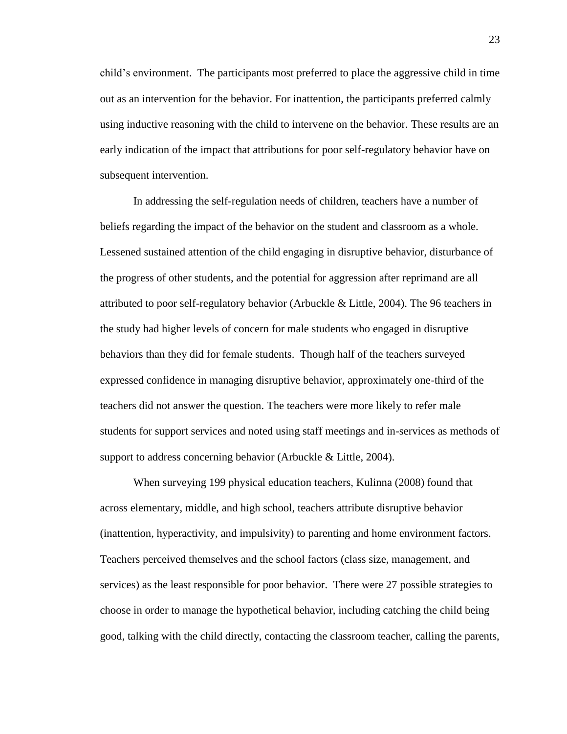child's environment. The participants most preferred to place the aggressive child in time out as an intervention for the behavior. For inattention, the participants preferred calmly using inductive reasoning with the child to intervene on the behavior. These results are an early indication of the impact that attributions for poor self-regulatory behavior have on subsequent intervention.

In addressing the self-regulation needs of children, teachers have a number of beliefs regarding the impact of the behavior on the student and classroom as a whole. Lessened sustained attention of the child engaging in disruptive behavior, disturbance of the progress of other students, and the potential for aggression after reprimand are all attributed to poor self-regulatory behavior (Arbuckle & Little, 2004). The 96 teachers in the study had higher levels of concern for male students who engaged in disruptive behaviors than they did for female students. Though half of the teachers surveyed expressed confidence in managing disruptive behavior, approximately one-third of the teachers did not answer the question. The teachers were more likely to refer male students for support services and noted using staff meetings and in-services as methods of support to address concerning behavior (Arbuckle & Little, 2004).

When surveying 199 physical education teachers, Kulinna (2008) found that across elementary, middle, and high school, teachers attribute disruptive behavior (inattention, hyperactivity, and impulsivity) to parenting and home environment factors. Teachers perceived themselves and the school factors (class size, management, and services) as the least responsible for poor behavior. There were 27 possible strategies to choose in order to manage the hypothetical behavior, including catching the child being good, talking with the child directly, contacting the classroom teacher, calling the parents,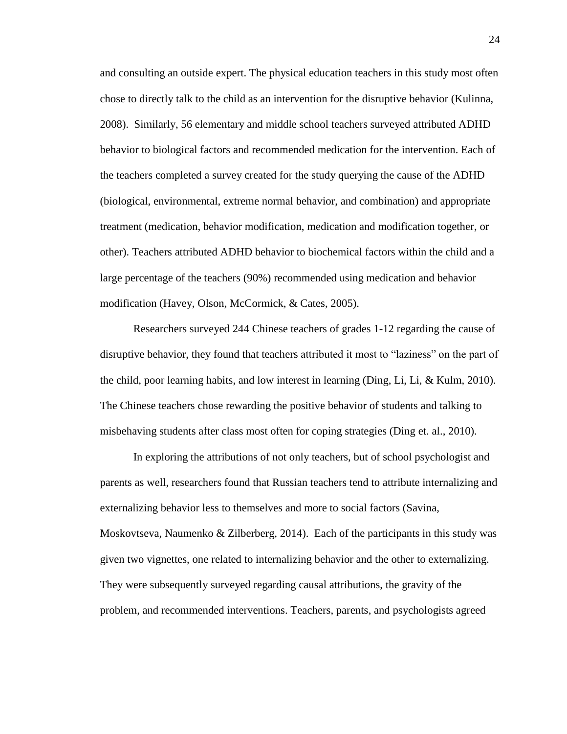and consulting an outside expert. The physical education teachers in this study most often chose to directly talk to the child as an intervention for the disruptive behavior (Kulinna, 2008). Similarly, 56 elementary and middle school teachers surveyed attributed ADHD behavior to biological factors and recommended medication for the intervention. Each of the teachers completed a survey created for the study querying the cause of the ADHD (biological, environmental, extreme normal behavior, and combination) and appropriate treatment (medication, behavior modification, medication and modification together, or other). Teachers attributed ADHD behavior to biochemical factors within the child and a large percentage of the teachers (90%) recommended using medication and behavior modification (Havey, Olson, McCormick, & Cates, 2005).

Researchers surveyed 244 Chinese teachers of grades 1-12 regarding the cause of disruptive behavior, they found that teachers attributed it most to "laziness" on the part of the child, poor learning habits, and low interest in learning (Ding, Li, Li, & Kulm, 2010). The Chinese teachers chose rewarding the positive behavior of students and talking to misbehaving students after class most often for coping strategies (Ding et. al., 2010).

In exploring the attributions of not only teachers, but of school psychologist and parents as well, researchers found that Russian teachers tend to attribute internalizing and externalizing behavior less to themselves and more to social factors (Savina, Moskovtseva, Naumenko  $\&$  Zilberberg, 2014). Each of the participants in this study was given two vignettes, one related to internalizing behavior and the other to externalizing. They were subsequently surveyed regarding causal attributions, the gravity of the problem, and recommended interventions. Teachers, parents, and psychologists agreed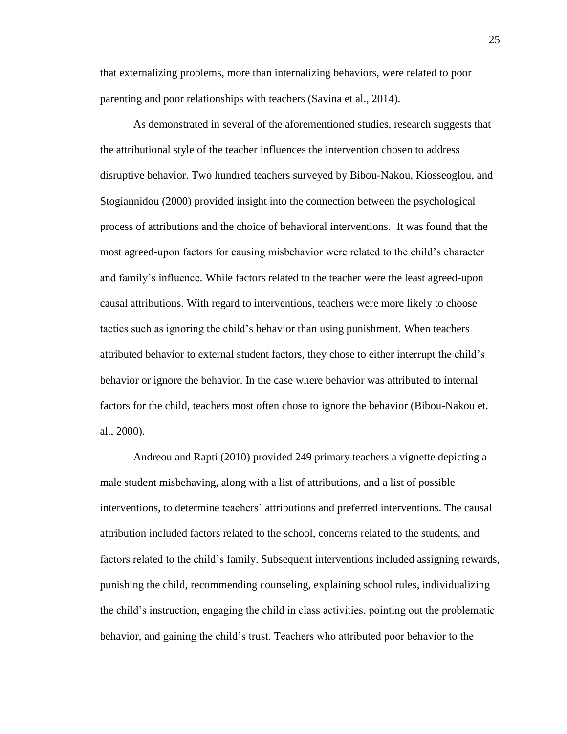that externalizing problems, more than internalizing behaviors, were related to poor parenting and poor relationships with teachers (Savina et al., 2014).

As demonstrated in several of the aforementioned studies, research suggests that the attributional style of the teacher influences the intervention chosen to address disruptive behavior. Two hundred teachers surveyed by Bibou-Nakou, Kiosseoglou, and Stogiannidou (2000) provided insight into the connection between the psychological process of attributions and the choice of behavioral interventions. It was found that the most agreed-upon factors for causing misbehavior were related to the child's character and family's influence. While factors related to the teacher were the least agreed-upon causal attributions. With regard to interventions, teachers were more likely to choose tactics such as ignoring the child's behavior than using punishment. When teachers attributed behavior to external student factors, they chose to either interrupt the child's behavior or ignore the behavior. In the case where behavior was attributed to internal factors for the child, teachers most often chose to ignore the behavior (Bibou-Nakou et. al., 2000).

Andreou and Rapti (2010) provided 249 primary teachers a vignette depicting a male student misbehaving, along with a list of attributions, and a list of possible interventions, to determine teachers' attributions and preferred interventions. The causal attribution included factors related to the school, concerns related to the students, and factors related to the child's family. Subsequent interventions included assigning rewards, punishing the child, recommending counseling, explaining school rules, individualizing the child's instruction, engaging the child in class activities, pointing out the problematic behavior, and gaining the child's trust. Teachers who attributed poor behavior to the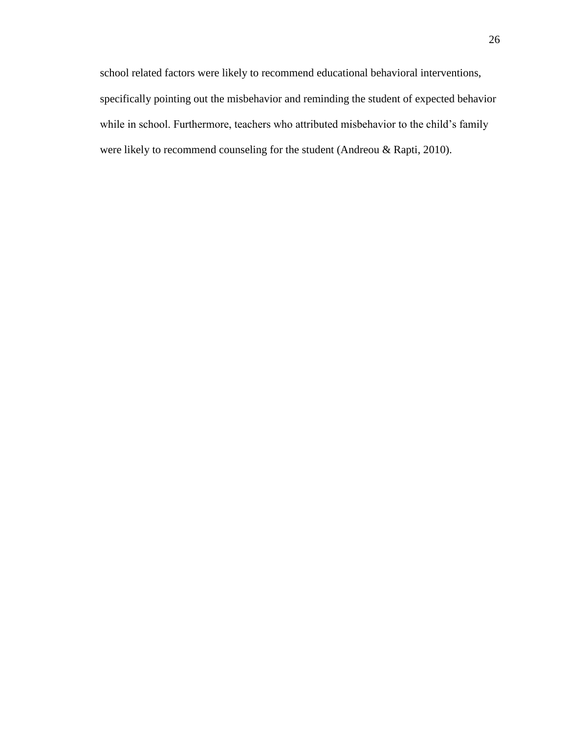school related factors were likely to recommend educational behavioral interventions, specifically pointing out the misbehavior and reminding the student of expected behavior while in school. Furthermore, teachers who attributed misbehavior to the child's family were likely to recommend counseling for the student (Andreou & Rapti, 2010).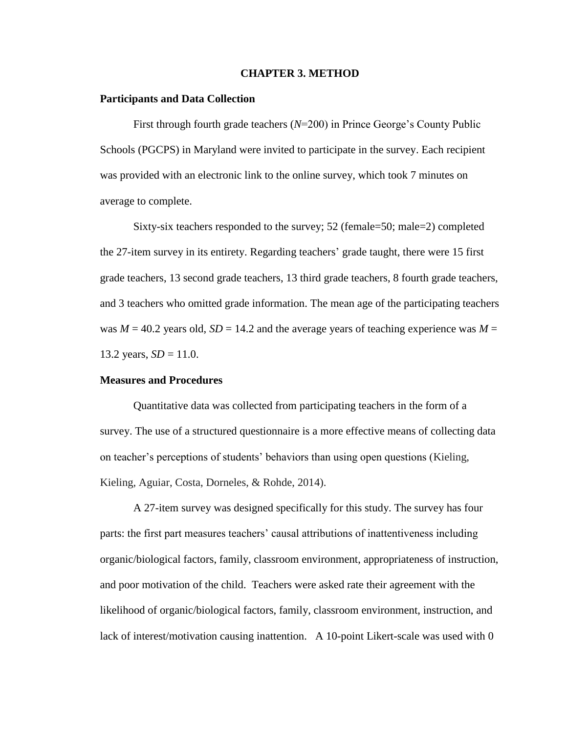### **CHAPTER 3. METHOD**

# **Participants and Data Collection**

First through fourth grade teachers (*N*=200) in Prince George's County Public Schools (PGCPS) in Maryland were invited to participate in the survey. Each recipient was provided with an electronic link to the online survey, which took 7 minutes on average to complete.

Sixty-six teachers responded to the survey; 52 (female=50; male=2) completed the 27-item survey in its entirety. Regarding teachers' grade taught, there were 15 first grade teachers, 13 second grade teachers, 13 third grade teachers, 8 fourth grade teachers, and 3 teachers who omitted grade information. The mean age of the participating teachers was  $M = 40.2$  years old,  $SD = 14.2$  and the average years of teaching experience was  $M =$ 13.2 years,  $SD = 11.0$ .

# **Measures and Procedures**

Quantitative data was collected from participating teachers in the form of a survey. The use of a structured questionnaire is a more effective means of collecting data on teacher's perceptions of students' behaviors than using open questions (Kieling, Kieling, Aguiar, Costa, Dorneles, & Rohde, 2014).

A 27-item survey was designed specifically for this study. The survey has four parts: the first part measures teachers' causal attributions of inattentiveness including organic/biological factors, family, classroom environment, appropriateness of instruction, and poor motivation of the child. Teachers were asked rate their agreement with the likelihood of organic/biological factors, family, classroom environment, instruction, and lack of interest/motivation causing inattention. A 10-point Likert-scale was used with 0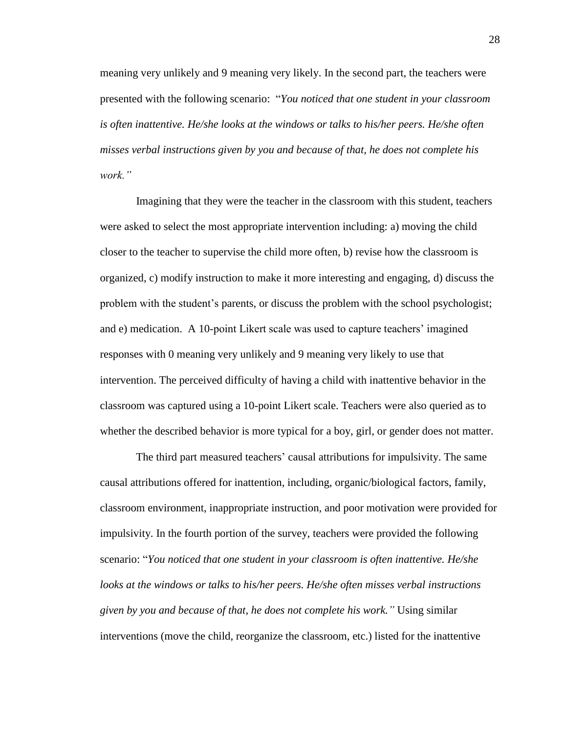meaning very unlikely and 9 meaning very likely. In the second part, the teachers were presented with the following scenario: "*You noticed that one student in your classroom is often inattentive. He/she looks at the windows or talks to his/her peers. He/she often misses verbal instructions given by you and because of that, he does not complete his work."*

Imagining that they were the teacher in the classroom with this student, teachers were asked to select the most appropriate intervention including: a) moving the child closer to the teacher to supervise the child more often, b) revise how the classroom is organized, c) modify instruction to make it more interesting and engaging, d) discuss the problem with the student's parents, or discuss the problem with the school psychologist; and e) medication. A 10-point Likert scale was used to capture teachers' imagined responses with 0 meaning very unlikely and 9 meaning very likely to use that intervention. The perceived difficulty of having a child with inattentive behavior in the classroom was captured using a 10-point Likert scale. Teachers were also queried as to whether the described behavior is more typical for a boy, girl, or gender does not matter.

The third part measured teachers' causal attributions for impulsivity. The same causal attributions offered for inattention, including, organic/biological factors, family, classroom environment, inappropriate instruction, and poor motivation were provided for impulsivity. In the fourth portion of the survey, teachers were provided the following scenario: "*You noticed that one student in your classroom is often inattentive. He/she looks at the windows or talks to his/her peers. He/she often misses verbal instructions given by you and because of that, he does not complete his work."* Using similar interventions (move the child, reorganize the classroom, etc.) listed for the inattentive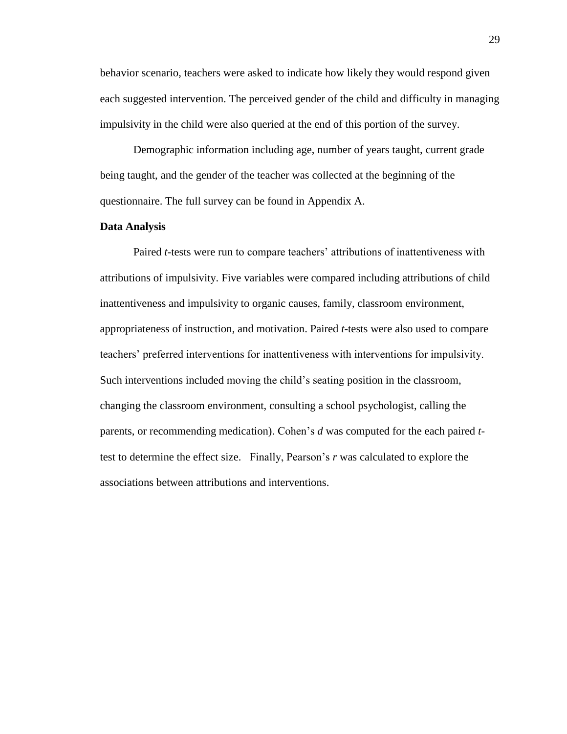behavior scenario, teachers were asked to indicate how likely they would respond given each suggested intervention. The perceived gender of the child and difficulty in managing impulsivity in the child were also queried at the end of this portion of the survey.

Demographic information including age, number of years taught, current grade being taught, and the gender of the teacher was collected at the beginning of the questionnaire. The full survey can be found in Appendix A.

# **Data Analysis**

Paired *t*-tests were run to compare teachers' attributions of inattentiveness with attributions of impulsivity. Five variables were compared including attributions of child inattentiveness and impulsivity to organic causes, family, classroom environment, appropriateness of instruction, and motivation. Paired *t*-tests were also used to compare teachers' preferred interventions for inattentiveness with interventions for impulsivity. Such interventions included moving the child's seating position in the classroom, changing the classroom environment, consulting a school psychologist, calling the parents, or recommending medication). Cohen's *d* was computed for the each paired *t*test to determine the effect size. Finally, Pearson's *r* was calculated to explore the associations between attributions and interventions.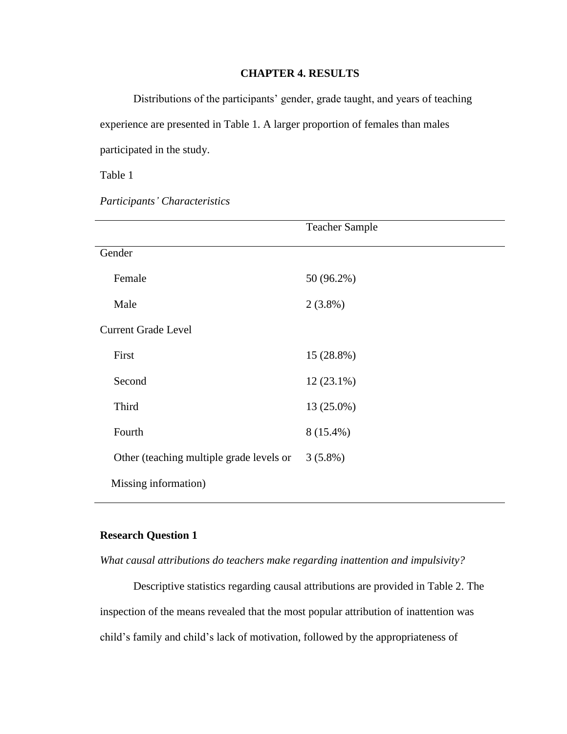# **CHAPTER 4. RESULTS**

Distributions of the participants' gender, grade taught, and years of teaching experience are presented in Table 1. A larger proportion of females than males participated in the study.

Table 1

*Participants' Characteristics*

|                                          | <b>Teacher Sample</b> |
|------------------------------------------|-----------------------|
| Gender                                   |                       |
| Female                                   | 50 (96.2%)            |
| Male                                     | $2(3.8\%)$            |
| <b>Current Grade Level</b>               |                       |
| First                                    | 15 (28.8%)            |
| Second                                   | $12(23.1\%)$          |
| Third                                    | 13 (25.0%)            |
| Fourth                                   | 8 (15.4%)             |
| Other (teaching multiple grade levels or | $3(5.8\%)$            |
| Missing information)                     |                       |

# **Research Question 1**

*What causal attributions do teachers make regarding inattention and impulsivity?*

Descriptive statistics regarding causal attributions are provided in Table 2. The inspection of the means revealed that the most popular attribution of inattention was child's family and child's lack of motivation, followed by the appropriateness of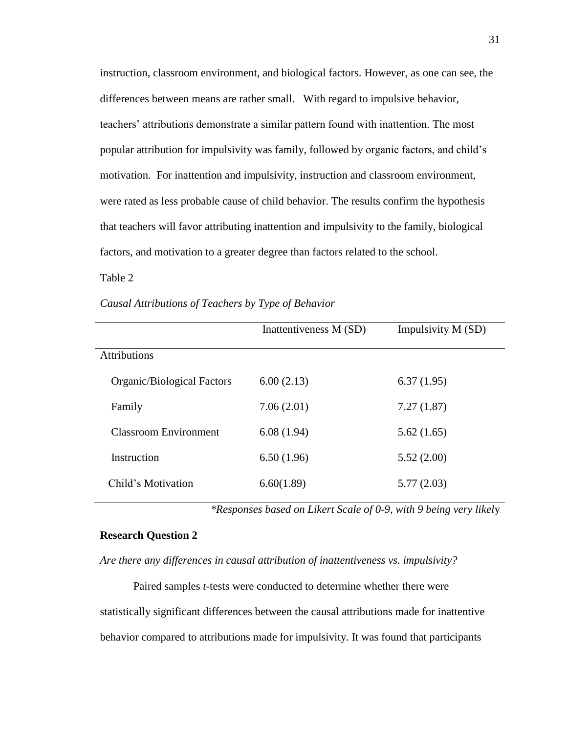instruction, classroom environment, and biological factors. However, as one can see, the differences between means are rather small. With regard to impulsive behavior, teachers' attributions demonstrate a similar pattern found with inattention. The most popular attribution for impulsivity was family, followed by organic factors, and child's motivation. For inattention and impulsivity, instruction and classroom environment, were rated as less probable cause of child behavior. The results confirm the hypothesis that teachers will favor attributing inattention and impulsivity to the family, biological factors, and motivation to a greater degree than factors related to the school.

Table 2

|                              | Inattentiveness M (SD) | Impulsivity M (SD) |
|------------------------------|------------------------|--------------------|
| <b>Attributions</b>          |                        |                    |
| Organic/Biological Factors   | 6.00(2.13)             | 6.37(1.95)         |
| Family                       | 7.06(2.01)             | 7.27(1.87)         |
| <b>Classroom Environment</b> | 6.08(1.94)             | 5.62(1.65)         |
| Instruction                  | 6.50(1.96)             | 5.52(2.00)         |
| Child's Motivation           | 6.60(1.89)             | 5.77(2.03)         |

*\*Responses based on Likert Scale of 0-9, with 9 being very likel*y

# **Research Question 2**

*Are there any differences in causal attribution of inattentiveness vs. impulsivity?*

Paired samples *t*-tests were conducted to determine whether there were statistically significant differences between the causal attributions made for inattentive behavior compared to attributions made for impulsivity. It was found that participants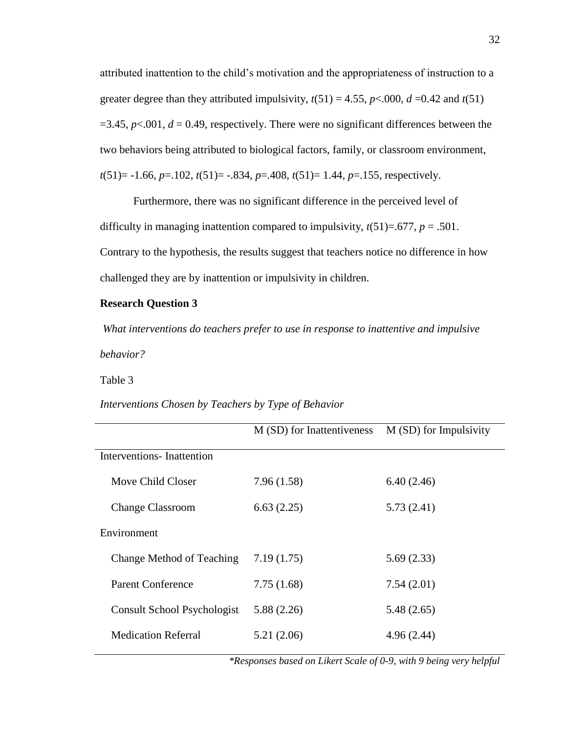attributed inattention to the child's motivation and the appropriateness of instruction to a greater degree than they attributed impulsivity,  $t(51) = 4.55$ ,  $p \lt 0.00$ ,  $d = 0.42$  and  $t(51)$  $=3.45$ ,  $p<.001$ ,  $d = 0.49$ , respectively. There were no significant differences between the two behaviors being attributed to biological factors, family, or classroom environment, *t*(51)= -1.66, *p*=.102, *t*(51)= -.834, *p*=.408, *t*(51)= 1.44, *p*=.155, respectively.

Furthermore, there was no significant difference in the perceived level of difficulty in managing inattention compared to impulsivity,  $t(51)=0.677$ ,  $p=.501$ . Contrary to the hypothesis, the results suggest that teachers notice no difference in how challenged they are by inattention or impulsivity in children.

# **Research Question 3**

*What interventions do teachers prefer to use in response to inattentive and impulsive behavior?*

Table 3

|                             | M (SD) for Inattentiveness | M (SD) for Impulsivity |
|-----------------------------|----------------------------|------------------------|
| Interventions-Inattention   |                            |                        |
| Move Child Closer           | 7.96(1.58)                 | 6.40(2.46)             |
| <b>Change Classroom</b>     | 6.63(2.25)                 | 5.73(2.41)             |
| Environment                 |                            |                        |
| Change Method of Teaching   | 7.19(1.75)                 | 5.69(2.33)             |
| <b>Parent Conference</b>    | 7.75(1.68)                 | 7.54(2.01)             |
| Consult School Psychologist | 5.88(2.26)                 | 5.48(2.65)             |
| <b>Medication Referral</b>  | 5.21(2.06)                 | 4.96(2.44)             |

*Interventions Chosen by Teachers by Type of Behavior*

*\*Responses based on Likert Scale of 0-9, with 9 being very helpful*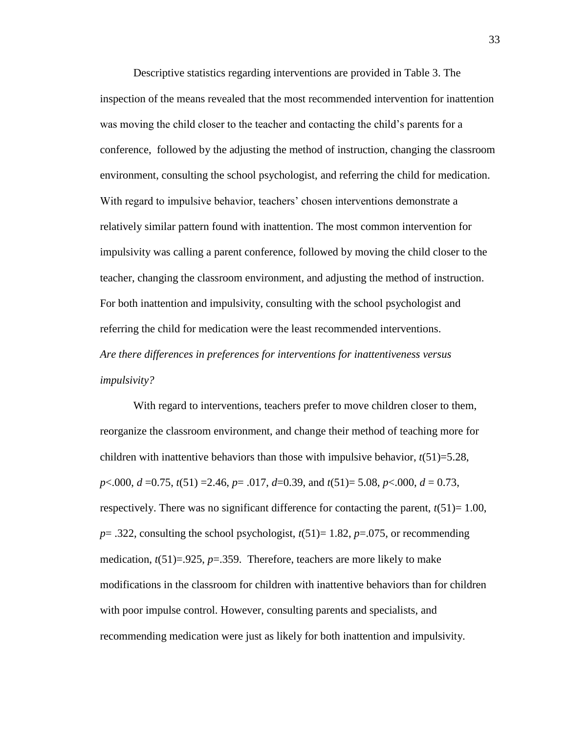Descriptive statistics regarding interventions are provided in Table 3. The inspection of the means revealed that the most recommended intervention for inattention was moving the child closer to the teacher and contacting the child's parents for a conference, followed by the adjusting the method of instruction, changing the classroom environment, consulting the school psychologist, and referring the child for medication. With regard to impulsive behavior, teachers' chosen interventions demonstrate a relatively similar pattern found with inattention. The most common intervention for impulsivity was calling a parent conference, followed by moving the child closer to the teacher, changing the classroom environment, and adjusting the method of instruction. For both inattention and impulsivity, consulting with the school psychologist and referring the child for medication were the least recommended interventions. *Are there differences in preferences for interventions for inattentiveness versus impulsivity?* 

With regard to interventions, teachers prefer to move children closer to them, reorganize the classroom environment, and change their method of teaching more for children with inattentive behaviors than those with impulsive behavior, *t*(51)=5.28, *p*<.000, *d* =0.75, *t*(51) =2.46, *p*= .017, *d*=0.39, and *t*(51)= 5.08, *p*<.000, *d* = 0.73, respectively. There was no significant difference for contacting the parent,  $t(51)=1.00$ , *p*= .322, consulting the school psychologist, *t*(51)= 1.82, *p*=.075, or recommending medication,  $t(51)=.925$ ,  $p=.359$ . Therefore, teachers are more likely to make modifications in the classroom for children with inattentive behaviors than for children with poor impulse control. However, consulting parents and specialists, and recommending medication were just as likely for both inattention and impulsivity.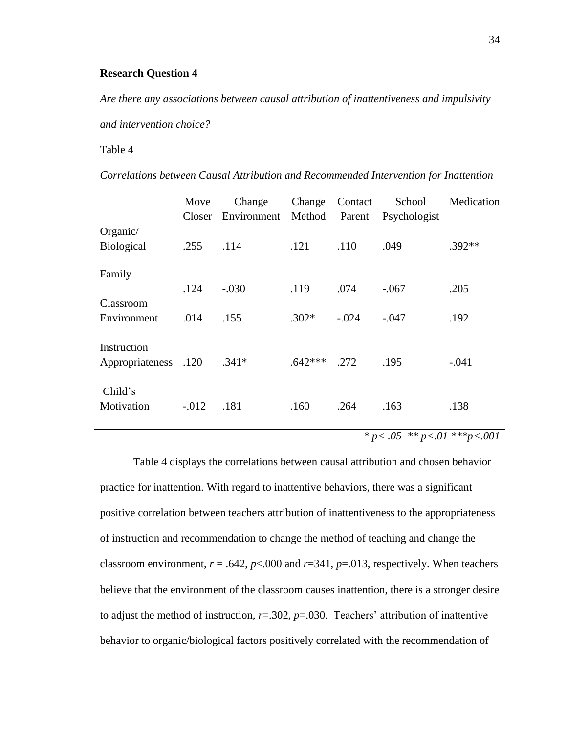# **Research Question 4**

*Are there any associations between causal attribution of inattentiveness and impulsivity and intervention choice?* 

# Table 4

|                      | Move    | Change      | Change    | Contact | School       | Medication |
|----------------------|---------|-------------|-----------|---------|--------------|------------|
|                      | Closer  | Environment | Method    | Parent  | Psychologist |            |
| Organic/             |         |             |           |         |              |            |
| <b>Biological</b>    | .255    | .114        | .121      | .110    | .049         | $.392**$   |
|                      |         |             |           |         |              |            |
| Family               |         |             |           |         |              |            |
|                      | .124    | $-.030$     | .119      | .074    | $-.067$      | .205       |
| Classroom            |         |             |           |         |              |            |
| Environment          | .014    | .155        | $.302*$   | $-.024$ | $-.047$      | .192       |
|                      |         |             |           |         |              |            |
| Instruction          |         |             |           |         |              |            |
| Appropriateness .120 |         | $.341*$     | $.642***$ | .272    | .195         | $-.041$    |
|                      |         |             |           |         |              |            |
| Child's              |         |             |           |         |              |            |
| Motivation           | $-.012$ | .181        | .160      | .264    | .163         | .138       |
|                      |         |             |           |         |              |            |
|                      |         |             |           |         |              |            |

*Correlations between Causal Attribution and Recommended Intervention for Inattention*

*\* p< .05 \*\* p<.01 \*\*\*p<.001*

Table 4 displays the correlations between causal attribution and chosen behavior practice for inattention. With regard to inattentive behaviors, there was a significant positive correlation between teachers attribution of inattentiveness to the appropriateness of instruction and recommendation to change the method of teaching and change the classroom environment,  $r = .642$ ,  $p < .000$  and  $r = 341$ ,  $p = .013$ , respectively. When teachers believe that the environment of the classroom causes inattention, there is a stronger desire to adjust the method of instruction,  $r = .302$ ,  $p = .030$ . Teachers' attribution of inattentive behavior to organic/biological factors positively correlated with the recommendation of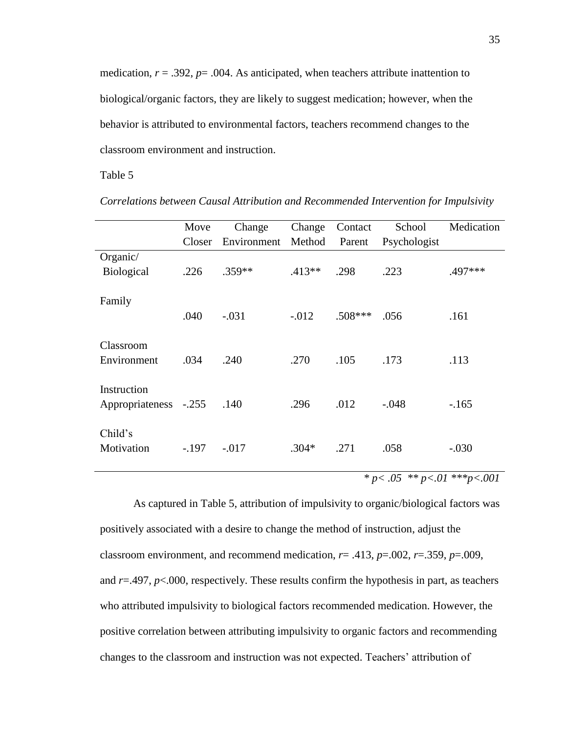medication,  $r = .392$ ,  $p = .004$ . As anticipated, when teachers attribute inattention to biological/organic factors, they are likely to suggest medication; however, when the behavior is attributed to environmental factors, teachers recommend changes to the classroom environment and instruction.

Table 5

|                       | Move    | Change      | Change   | Contact   | School                                  | Medication |
|-----------------------|---------|-------------|----------|-----------|-----------------------------------------|------------|
|                       | Closer  | Environment | Method   | Parent    | Psychologist                            |            |
| Organic/              |         |             |          |           |                                         |            |
| <b>Biological</b>     | .226    | $.359**$    | $.413**$ | .298      | .223                                    | .497***    |
|                       |         |             |          |           |                                         |            |
| Family                |         |             |          |           |                                         |            |
|                       | .040    | $-.031$     | $-.012$  | $.508***$ | .056                                    | .161       |
|                       |         |             |          |           |                                         |            |
| Classroom             |         |             |          |           |                                         |            |
| Environment           | .034    | .240        | .270     | .105      | .173                                    | .113       |
|                       |         |             |          |           |                                         |            |
| Instruction           |         |             |          |           |                                         |            |
| Appropriateness -.255 |         | .140        | .296     | .012      | $-.048$                                 | $-165$     |
|                       |         |             |          |           |                                         |            |
| Child's               |         |             |          |           |                                         |            |
| Motivation            | $-.197$ | $-.017$     | $.304*$  | .271      | .058                                    | $-.030$    |
|                       |         |             |          |           |                                         |            |
|                       |         |             |          |           | * $p < .05$ ** $p < .01$ *** $p < .001$ |            |
|                       |         |             |          |           |                                         |            |

*Correlations between Causal Attribution and Recommended Intervention for Impulsivity*

As captured in Table 5, attribution of impulsivity to organic/biological factors was positively associated with a desire to change the method of instruction, adjust the classroom environment, and recommend medication, *r*= .413, *p*=.002, *r*=.359, *p*=.009, and  $r = 0.497$ ,  $p < 0.00$ , respectively. These results confirm the hypothesis in part, as teachers who attributed impulsivity to biological factors recommended medication. However, the positive correlation between attributing impulsivity to organic factors and recommending changes to the classroom and instruction was not expected. Teachers' attribution of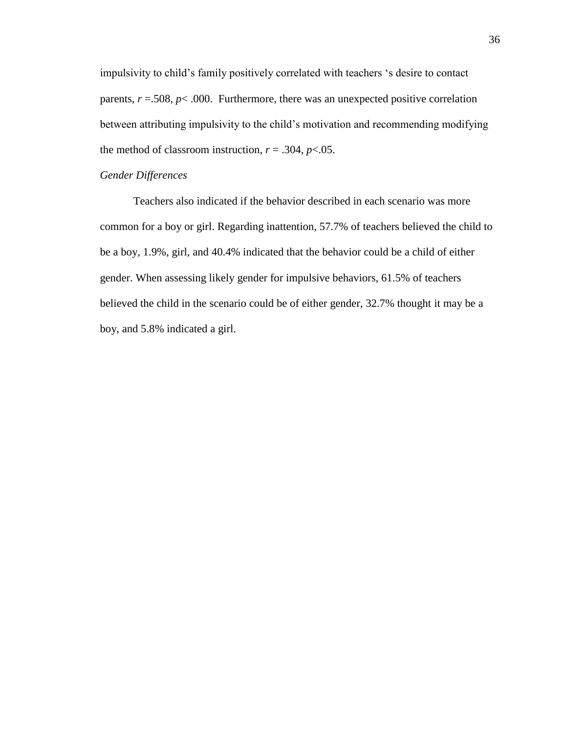impulsivity to child's family positively correlated with teachers 's desire to contact parents,  $r = .508$ ,  $p < .000$ . Furthermore, there was an unexpected positive correlation between attributing impulsivity to the child's motivation and recommending modifying the method of classroom instruction,  $r = .304$ ,  $p < .05$ .

# *Gender Differences*

Teachers also indicated if the behavior described in each scenario was more common for a boy or girl. Regarding inattention, 57.7% of teachers believed the child to be a boy, 1.9%, girl, and 40.4% indicated that the behavior could be a child of either gender. When assessing likely gender for impulsive behaviors, 61.5% of teachers believed the child in the scenario could be of either gender, 32.7% thought it may be a boy, and 5.8% indicated a girl.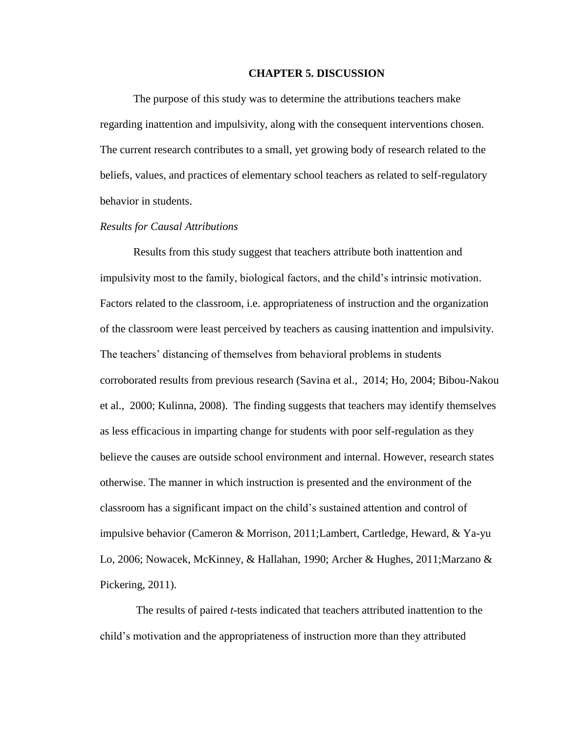### **CHAPTER 5. DISCUSSION**

The purpose of this study was to determine the attributions teachers make regarding inattention and impulsivity, along with the consequent interventions chosen. The current research contributes to a small, yet growing body of research related to the beliefs, values, and practices of elementary school teachers as related to self-regulatory behavior in students.

### *Results for Causal Attributions*

Results from this study suggest that teachers attribute both inattention and impulsivity most to the family, biological factors, and the child's intrinsic motivation. Factors related to the classroom, i.e. appropriateness of instruction and the organization of the classroom were least perceived by teachers as causing inattention and impulsivity. The teachers' distancing of themselves from behavioral problems in students corroborated results from previous research (Savina et al., 2014; Ho, 2004; Bibou-Nakou et al., 2000; Kulinna, 2008). The finding suggests that teachers may identify themselves as less efficacious in imparting change for students with poor self-regulation as they believe the causes are outside school environment and internal. However, research states otherwise. The manner in which instruction is presented and the environment of the classroom has a significant impact on the child's sustained attention and control of impulsive behavior (Cameron & Morrison, 2011;Lambert, Cartledge, Heward, & Ya-yu Lo, 2006; Nowacek, McKinney, & Hallahan, 1990; Archer & Hughes, 2011;Marzano & Pickering, 2011).

The results of paired *t*-tests indicated that teachers attributed inattention to the child's motivation and the appropriateness of instruction more than they attributed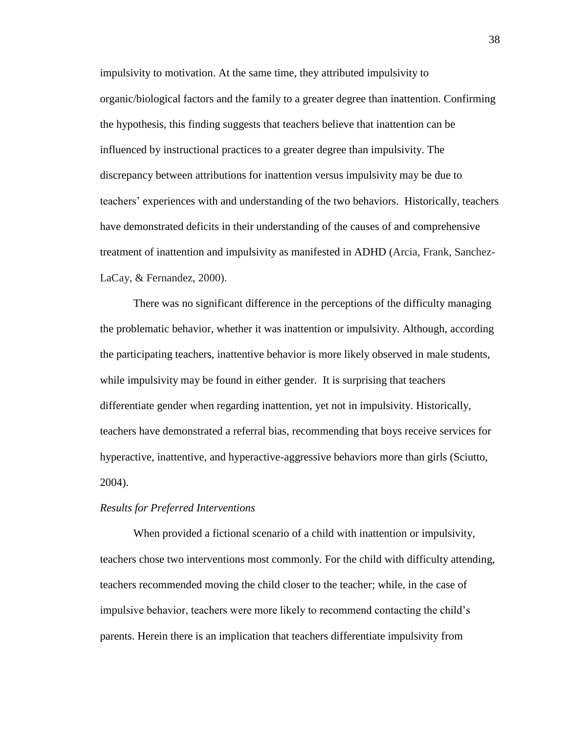impulsivity to motivation. At the same time, they attributed impulsivity to organic/biological factors and the family to a greater degree than inattention. Confirming the hypothesis, this finding suggests that teachers believe that inattention can be influenced by instructional practices to a greater degree than impulsivity. The discrepancy between attributions for inattention versus impulsivity may be due to teachers' experiences with and understanding of the two behaviors. Historically, teachers have demonstrated deficits in their understanding of the causes of and comprehensive treatment of inattention and impulsivity as manifested in ADHD (Arcia, Frank, Sanchez-LaCay, & Fernandez, 2000).

There was no significant difference in the perceptions of the difficulty managing the problematic behavior, whether it was inattention or impulsivity. Although, according the participating teachers, inattentive behavior is more likely observed in male students, while impulsivity may be found in either gender. It is surprising that teachers differentiate gender when regarding inattention, yet not in impulsivity. Historically, teachers have demonstrated a referral bias, recommending that boys receive services for hyperactive, inattentive, and hyperactive-aggressive behaviors more than girls (Sciutto, 2004).

#### *Results for Preferred Interventions*

When provided a fictional scenario of a child with inattention or impulsivity, teachers chose two interventions most commonly. For the child with difficulty attending, teachers recommended moving the child closer to the teacher; while, in the case of impulsive behavior, teachers were more likely to recommend contacting the child's parents. Herein there is an implication that teachers differentiate impulsivity from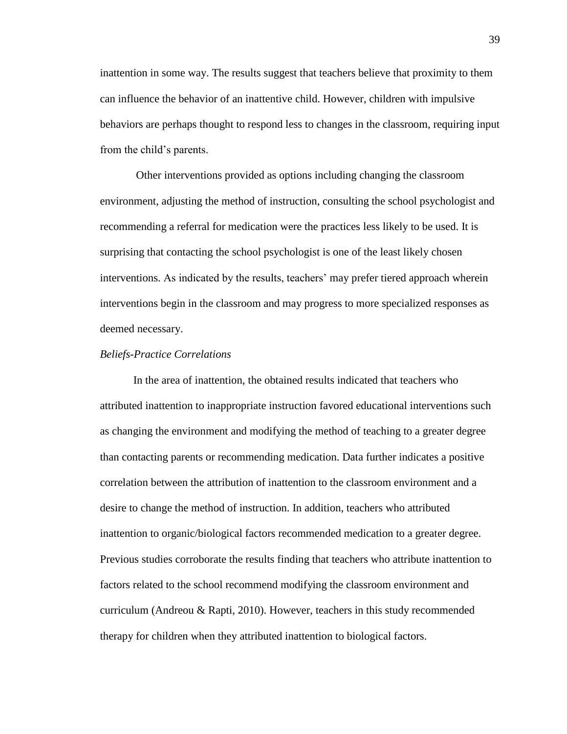inattention in some way. The results suggest that teachers believe that proximity to them can influence the behavior of an inattentive child. However, children with impulsive behaviors are perhaps thought to respond less to changes in the classroom, requiring input from the child's parents.

Other interventions provided as options including changing the classroom environment, adjusting the method of instruction, consulting the school psychologist and recommending a referral for medication were the practices less likely to be used. It is surprising that contacting the school psychologist is one of the least likely chosen interventions. As indicated by the results, teachers' may prefer tiered approach wherein interventions begin in the classroom and may progress to more specialized responses as deemed necessary.

#### *Beliefs-Practice Correlations*

In the area of inattention, the obtained results indicated that teachers who attributed inattention to inappropriate instruction favored educational interventions such as changing the environment and modifying the method of teaching to a greater degree than contacting parents or recommending medication. Data further indicates a positive correlation between the attribution of inattention to the classroom environment and a desire to change the method of instruction. In addition, teachers who attributed inattention to organic/biological factors recommended medication to a greater degree. Previous studies corroborate the results finding that teachers who attribute inattention to factors related to the school recommend modifying the classroom environment and curriculum (Andreou & Rapti, 2010). However, teachers in this study recommended therapy for children when they attributed inattention to biological factors.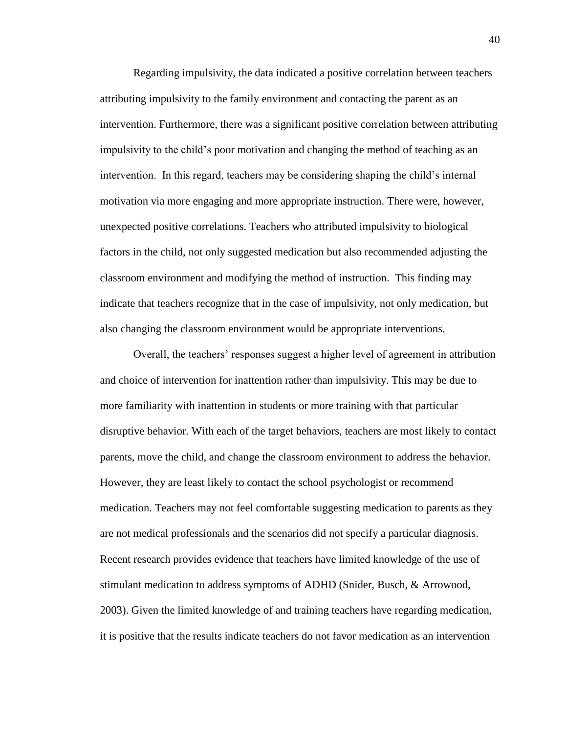Regarding impulsivity, the data indicated a positive correlation between teachers attributing impulsivity to the family environment and contacting the parent as an intervention. Furthermore, there was a significant positive correlation between attributing impulsivity to the child's poor motivation and changing the method of teaching as an intervention. In this regard, teachers may be considering shaping the child's internal motivation via more engaging and more appropriate instruction. There were, however, unexpected positive correlations. Teachers who attributed impulsivity to biological factors in the child, not only suggested medication but also recommended adjusting the classroom environment and modifying the method of instruction. This finding may indicate that teachers recognize that in the case of impulsivity, not only medication, but also changing the classroom environment would be appropriate interventions.

Overall, the teachers' responses suggest a higher level of agreement in attribution and choice of intervention for inattention rather than impulsivity. This may be due to more familiarity with inattention in students or more training with that particular disruptive behavior. With each of the target behaviors, teachers are most likely to contact parents, move the child, and change the classroom environment to address the behavior. However, they are least likely to contact the school psychologist or recommend medication. Teachers may not feel comfortable suggesting medication to parents as they are not medical professionals and the scenarios did not specify a particular diagnosis. Recent research provides evidence that teachers have limited knowledge of the use of stimulant medication to address symptoms of ADHD (Snider, Busch, & Arrowood, 2003). Given the limited knowledge of and training teachers have regarding medication, it is positive that the results indicate teachers do not favor medication as an intervention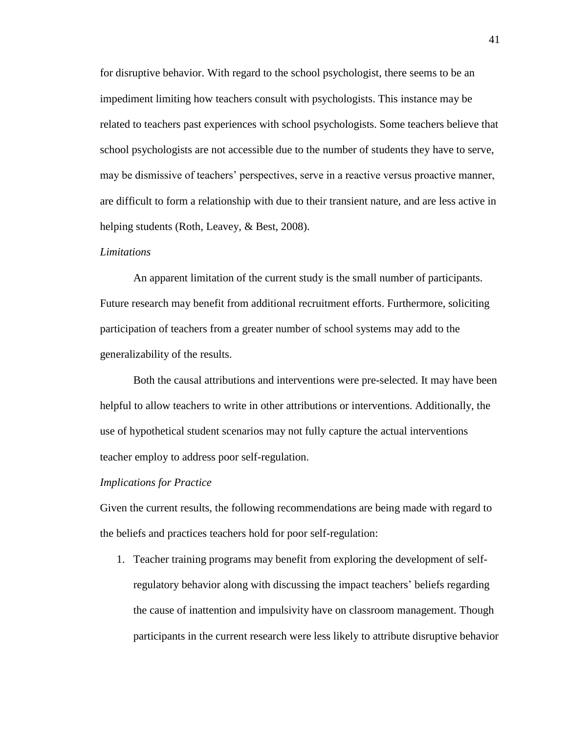for disruptive behavior. With regard to the school psychologist, there seems to be an impediment limiting how teachers consult with psychologists. This instance may be related to teachers past experiences with school psychologists. Some teachers believe that school psychologists are not accessible due to the number of students they have to serve, may be dismissive of teachers' perspectives, serve in a reactive versus proactive manner, are difficult to form a relationship with due to their transient nature, and are less active in helping students (Roth, Leavey, & Best, 2008).

#### *Limitations*

An apparent limitation of the current study is the small number of participants. Future research may benefit from additional recruitment efforts. Furthermore, soliciting participation of teachers from a greater number of school systems may add to the generalizability of the results.

Both the causal attributions and interventions were pre-selected. It may have been helpful to allow teachers to write in other attributions or interventions. Additionally, the use of hypothetical student scenarios may not fully capture the actual interventions teacher employ to address poor self-regulation.

#### *Implications for Practice*

Given the current results, the following recommendations are being made with regard to the beliefs and practices teachers hold for poor self-regulation:

1. Teacher training programs may benefit from exploring the development of selfregulatory behavior along with discussing the impact teachers' beliefs regarding the cause of inattention and impulsivity have on classroom management. Though participants in the current research were less likely to attribute disruptive behavior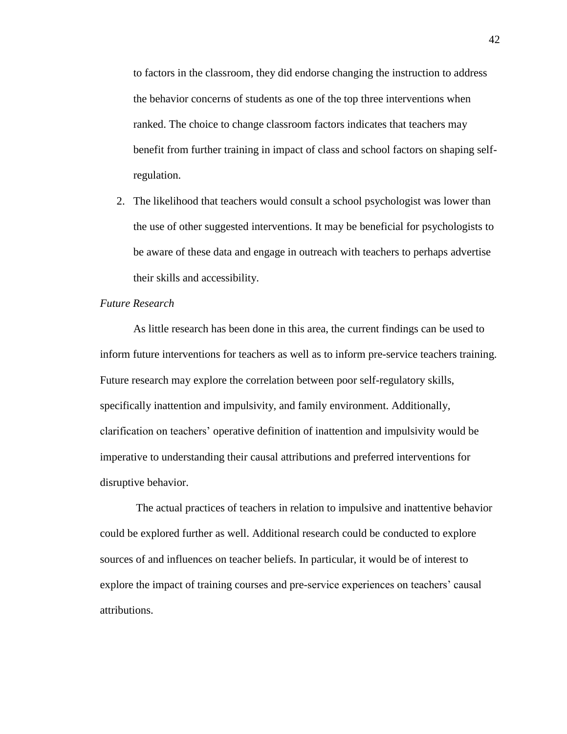to factors in the classroom, they did endorse changing the instruction to address the behavior concerns of students as one of the top three interventions when ranked. The choice to change classroom factors indicates that teachers may benefit from further training in impact of class and school factors on shaping selfregulation.

2. The likelihood that teachers would consult a school psychologist was lower than the use of other suggested interventions. It may be beneficial for psychologists to be aware of these data and engage in outreach with teachers to perhaps advertise their skills and accessibility.

# *Future Research*

As little research has been done in this area, the current findings can be used to inform future interventions for teachers as well as to inform pre-service teachers training. Future research may explore the correlation between poor self-regulatory skills, specifically inattention and impulsivity, and family environment. Additionally, clarification on teachers' operative definition of inattention and impulsivity would be imperative to understanding their causal attributions and preferred interventions for disruptive behavior.

The actual practices of teachers in relation to impulsive and inattentive behavior could be explored further as well. Additional research could be conducted to explore sources of and influences on teacher beliefs. In particular, it would be of interest to explore the impact of training courses and pre-service experiences on teachers' causal attributions.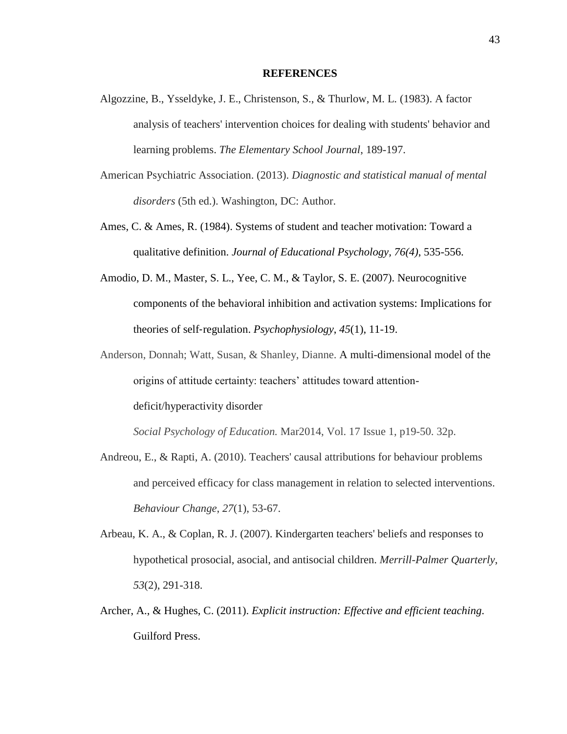#### **REFERENCES**

- Algozzine, B., Ysseldyke, J. E., Christenson, S., & Thurlow, M. L. (1983). A factor analysis of teachers' intervention choices for dealing with students' behavior and learning problems. *The Elementary School Journal*, 189-197.
- American Psychiatric Association. (2013). *Diagnostic and statistical manual of mental disorders* (5th ed.). Washington, DC: Author.
- Ames, C. & Ames, R. (1984). Systems of student and teacher motivation: Toward a qualitative definition. *Journal of Educational Psychology, 76(4)*, 535-556.
- Amodio, D. M., Master, S. L., Yee, C. M., & Taylor, S. E. (2007). Neurocognitive components of the behavioral inhibition and activation systems: Implications for theories of self‐regulation. *Psychophysiology*, *45*(1), 11-19.
- Anderson, Donnah; Watt, Susan, & Shanley, Dianne. A multi-dimensional model of the origins of attitude certainty: teachers' attitudes toward attentiondeficit/hyperactivity disorder

*Social Psychology of Education.* Mar2014, Vol. 17 Issue 1, p19-50. 32p.

- Andreou, E., & Rapti, A. (2010). Teachers' causal attributions for behaviour problems and perceived efficacy for class management in relation to selected interventions. *Behaviour Change*, *27*(1), 53-67.
- Arbeau, K. A., & Coplan, R. J. (2007). Kindergarten teachers' beliefs and responses to hypothetical prosocial, asocial, and antisocial children. *Merrill-Palmer Quarterly*, *53*(2), 291-318.
- Archer, A., & Hughes, C. (2011). *Explicit instruction: Effective and efficient teaching*. Guilford Press.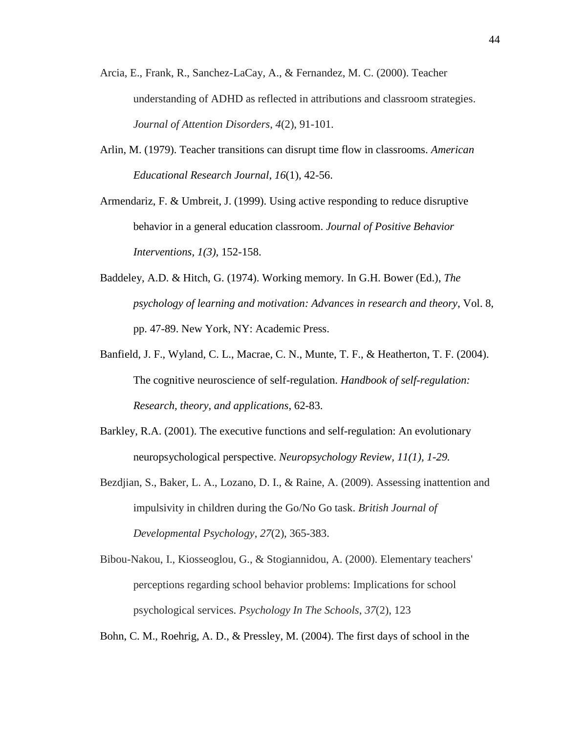- Arcia, E., Frank, R., Sanchez-LaCay, A., & Fernandez, M. C. (2000). Teacher understanding of ADHD as reflected in attributions and classroom strategies. *Journal of Attention Disorders*, *4*(2), 91-101.
- Arlin, M. (1979). Teacher transitions can disrupt time flow in classrooms. *American Educational Research Journal*, *16*(1), 42-56.

Armendariz, F. & Umbreit, J. (1999). Using active responding to reduce disruptive behavior in a general education classroom. *Journal of Positive Behavior Interventions*, *1(3),* 152-158.

- Baddeley, A.D. & Hitch, G. (1974). Working memory*.* In G.H. Bower (Ed.), *The psychology of learning and motivation: Advances in research and theory*, Vol. 8, pp. 47-89. New York, NY: Academic Press.
- Banfield, J. F., Wyland, C. L., Macrae, C. N., Munte, T. F., & Heatherton, T. F. (2004). The cognitive neuroscience of self-regulation. *Handbook of self-regulation: Research, theory, and applications*, 62-83.
- Barkley, R.A. (2001). The executive functions and self-regulation: An evolutionary neuropsychological perspective. *Neuropsychology Review, 11(1), 1-29.*
- Bezdjian, S., Baker, L. A., Lozano, D. I., & Raine, A. (2009). Assessing inattention and impulsivity in children during the Go/No Go task. *British Journal of Developmental Psychology*, *27*(2), 365-383.
- Bibou-Nakou, I., Kiosseoglou, G., & Stogiannidou, A. (2000). Elementary teachers' perceptions regarding school behavior problems: Implications for school psychological services. *Psychology In The Schools*, *37*(2), 123

Bohn, C. M., Roehrig, A. D., & Pressley, M. (2004). The first days of school in the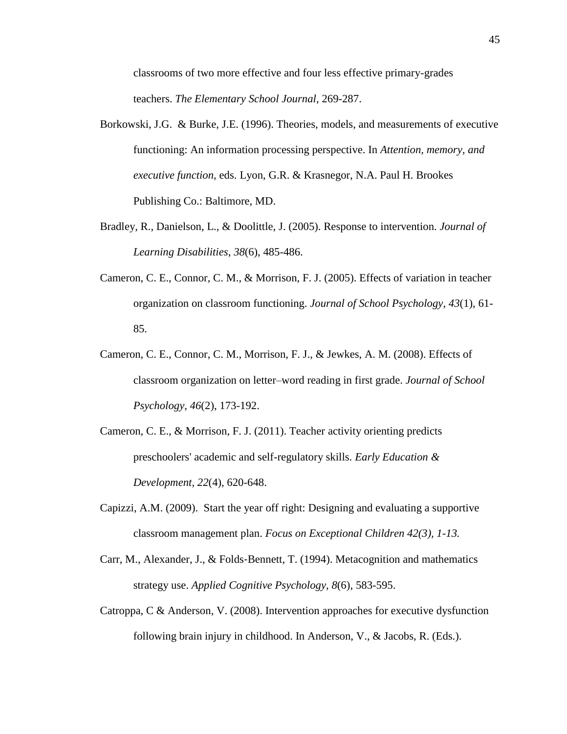classrooms of two more effective and four less effective primary-grades teachers. *The Elementary School Journal*, 269-287.

- Borkowski, J.G. & Burke, J.E. (1996). Theories, models, and measurements of executive functioning: An information processing perspective. In *Attention, memory, and executive function,* eds. Lyon, G.R. & Krasnegor, N.A. Paul H. Brookes Publishing Co.: Baltimore, MD.
- Bradley, R., Danielson, L., & Doolittle, J. (2005). Response to intervention. *Journal of Learning Disabilities*, *38*(6), 485-486.
- Cameron, C. E., Connor, C. M., & Morrison, F. J. (2005). Effects of variation in teacher organization on classroom functioning. *Journal of School Psychology*, *43*(1), 61- 85.
- Cameron, C. E., Connor, C. M., Morrison, F. J., & Jewkes, A. M. (2008). Effects of classroom organization on letter–word reading in first grade. *Journal of School Psychology*, *46*(2), 173-192.
- Cameron, C. E., & Morrison, F. J. (2011). Teacher activity orienting predicts preschoolers' academic and self-regulatory skills. *Early Education & Development*, *22*(4), 620-648.
- Capizzi, A.M. (2009). Start the year off right: Designing and evaluating a supportive classroom management plan. *Focus on Exceptional Children 42(3), 1-13.*
- Carr, M., Alexander, J., & Folds‐Bennett, T. (1994). Metacognition and mathematics strategy use. *Applied Cognitive Psychology*, *8*(6), 583-595.
- Catroppa, C & Anderson, V. (2008). Intervention approaches for executive dysfunction following brain injury in childhood. In Anderson, V., & Jacobs, R. (Eds.).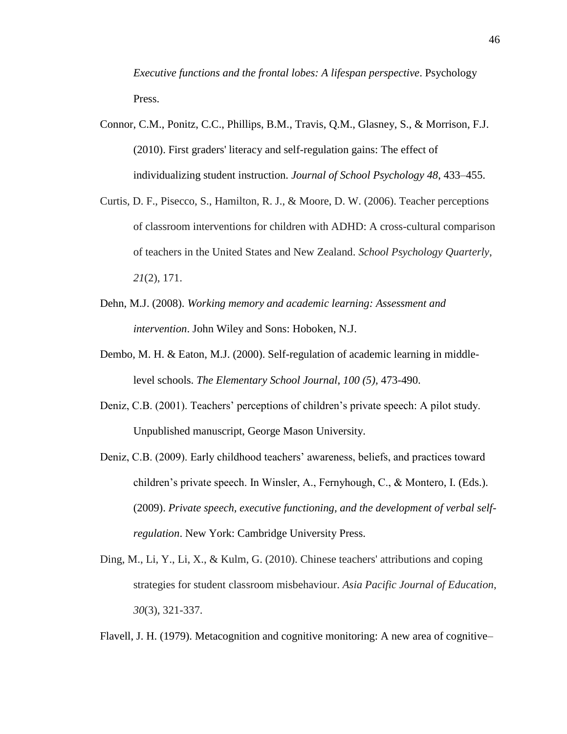*Executive functions and the frontal lobes: A lifespan perspective*. Psychology Press.

- Connor, C.M., Ponitz, C.C., Phillips, B.M., Travis, Q.M., Glasney, S., & Morrison, F.J. (2010). First graders' literacy and self-regulation gains: The effect of individualizing student instruction. *Journal of School Psychology 48*, 433–455.
- Curtis, D. F., Pisecco, S., Hamilton, R. J., & Moore, D. W. (2006). Teacher perceptions of classroom interventions for children with ADHD: A cross-cultural comparison of teachers in the United States and New Zealand. *School Psychology Quarterly*, *21*(2), 171.
- Dehn, M.J. (2008). *Working memory and academic learning: Assessment and intervention*. John Wiley and Sons: Hoboken, N.J.
- Dembo, M. H. & Eaton, M.J. (2000). Self-regulation of academic learning in middlelevel schools. *The Elementary School Journal*, *100 (5),* 473-490.
- Deniz, C.B. (2001). Teachers' perceptions of children's private speech: A pilot study. Unpublished manuscript, George Mason University.
- Deniz, C.B. (2009). Early childhood teachers' awareness, beliefs, and practices toward children's private speech. In Winsler, A., Fernyhough, C., & Montero, I. (Eds.). (2009). *Private speech, executive functioning, and the development of verbal selfregulation*. New York: Cambridge University Press.
- Ding, M., Li, Y., Li, X., & Kulm, G. (2010). Chinese teachers' attributions and coping strategies for student classroom misbehaviour. *Asia Pacific Journal of Education*, *30*(3), 321-337.

Flavell, J. H. (1979). Metacognition and cognitive monitoring: A new area of cognitive–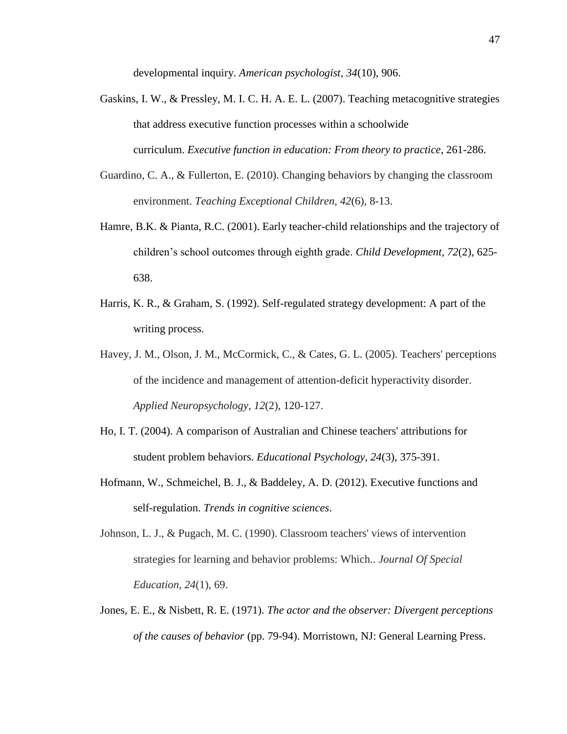developmental inquiry. *American psychologist*, *34*(10), 906.

- Gaskins, I. W., & Pressley, M. I. C. H. A. E. L. (2007). Teaching metacognitive strategies that address executive function processes within a schoolwide curriculum. *Executive function in education: From theory to practice*, 261-286.
- Guardino, C. A., & Fullerton, E. (2010). Changing behaviors by changing the classroom environment. *Teaching Exceptional Children*, *42*(6), 8-13.
- Hamre, B.K. & Pianta, R.C. (2001). Early teacher-child relationships and the trajectory of children's school outcomes through eighth grade. *Child Development, 72*(2), 625- 638.
- Harris, K. R., & Graham, S. (1992). Self-regulated strategy development: A part of the writing process.
- Havey, J. M., Olson, J. M., McCormick, C., & Cates, G. L. (2005). Teachers' perceptions of the incidence and management of attention-deficit hyperactivity disorder. *Applied Neuropsychology*, *12*(2), 120-127.
- Ho, I. T. (2004). A comparison of Australian and Chinese teachers' attributions for student problem behaviors. *Educational Psychology*, *24*(3), 375-391.
- Hofmann, W., Schmeichel, B. J., & Baddeley, A. D. (2012). Executive functions and self-regulation. *Trends in cognitive sciences*.
- Johnson, L. J., & Pugach, M. C. (1990). Classroom teachers' views of intervention strategies for learning and behavior problems: Which.. *Journal Of Special Education*, *24*(1), 69.
- Jones, E. E., & Nisbett, R. E. (1971). *The actor and the observer: Divergent perceptions of the causes of behavior* (pp. 79-94). Morristown, NJ: General Learning Press.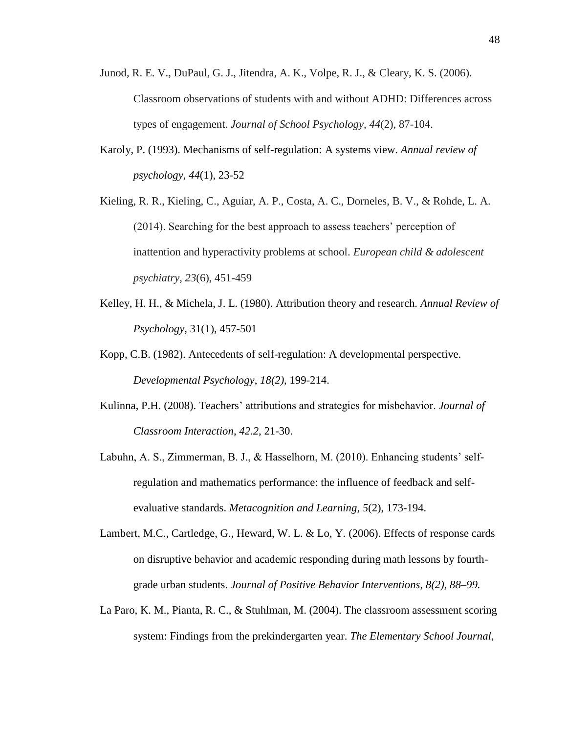- Junod, R. E. V., DuPaul, G. J., Jitendra, A. K., Volpe, R. J., & Cleary, K. S. (2006). Classroom observations of students with and without ADHD: Differences across types of engagement. *Journal of School Psychology*, *44*(2), 87-104.
- Karoly, P. (1993). Mechanisms of self-regulation: A systems view. *Annual review of psychology*, *44*(1), 23-52
- Kieling, R. R., Kieling, C., Aguiar, A. P., Costa, A. C., Dorneles, B. V., & Rohde, L. A. (2014). Searching for the best approach to assess teachers' perception of inattention and hyperactivity problems at school. *European child & adolescent psychiatry*, *23*(6), 451-459
- Kelley, H. H., & Michela, J. L. (1980). Attribution theory and research. *Annual Review of Psychology*, 31(1), 457-501
- Kopp, C.B. (1982). Antecedents of self-regulation: A developmental perspective. *Developmental Psychology*, *18(2),* 199-214.
- Kulinna, P.H. (2008). Teachers' attributions and strategies for misbehavior. *Journal of Classroom Interaction*, *42.2*, 21-30.
- Labuhn, A. S., Zimmerman, B. J., & Hasselhorn, M. (2010). Enhancing students' selfregulation and mathematics performance: the influence of feedback and selfevaluative standards. *Metacognition and Learning*, *5*(2), 173-194.
- Lambert, M.C., Cartledge, G., Heward, W. L. & Lo, Y. (2006). Effects of response cards on disruptive behavior and academic responding during math lessons by fourthgrade urban students. *Journal of Positive Behavior Interventions*, *8(2), 88–99.*
- La Paro, K. M., Pianta, R. C., & Stuhlman, M. (2004). The classroom assessment scoring system: Findings from the prekindergarten year. *The Elementary School Journal*,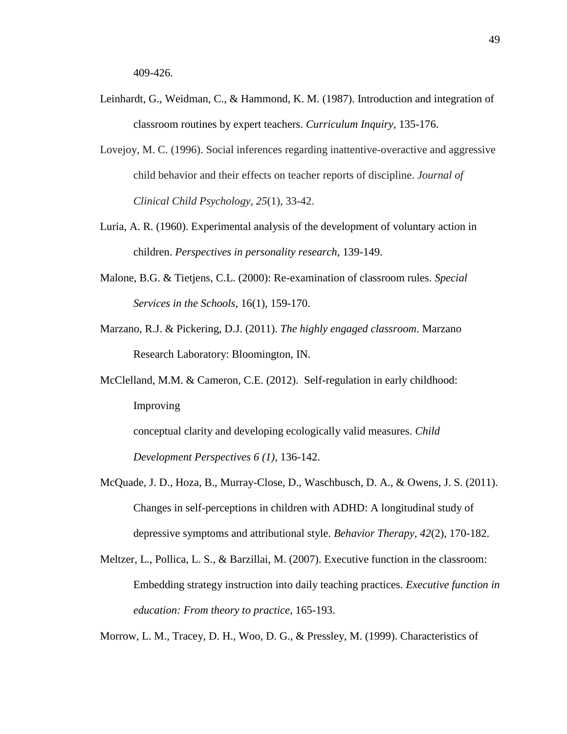409-426.

- Leinhardt, G., Weidman, C., & Hammond, K. M. (1987). Introduction and integration of classroom routines by expert teachers. *Curriculum Inquiry*, 135-176.
- Lovejoy, M. C. (1996). Social inferences regarding inattentive-overactive and aggressive child behavior and their effects on teacher reports of discipline. *Journal of Clinical Child Psychology*, *25*(1), 33-42.
- Luria, A. R. (1960). Experimental analysis of the development of voluntary action in children. *Perspectives in personality research*, 139-149.
- Malone, B.G. & Tietjens, C.L. (2000): Re-examination of classroom rules. *Special Services in the Schools*, 16(1), 159-170.
- Marzano, R.J. & Pickering, D.J. (2011). *The highly engaged classroom*. Marzano Research Laboratory: Bloomington, IN.
- McClelland, M.M. & Cameron, C.E. (2012). Self-regulation in early childhood: Improving

conceptual clarity and developing ecologically valid measures. *Child Development Perspectives 6 (1),* 136-142.

- McQuade, J. D., Hoza, B., Murray-Close, D., Waschbusch, D. A., & Owens, J. S. (2011). Changes in self-perceptions in children with ADHD: A longitudinal study of depressive symptoms and attributional style. *Behavior Therapy*, *42*(2), 170-182.
- Meltzer, L., Pollica, L. S., & Barzillai, M. (2007). Executive function in the classroom: Embedding strategy instruction into daily teaching practices. *Executive function in education: From theory to practice*, 165-193.

Morrow, L. M., Tracey, D. H., Woo, D. G., & Pressley, M. (1999). Characteristics of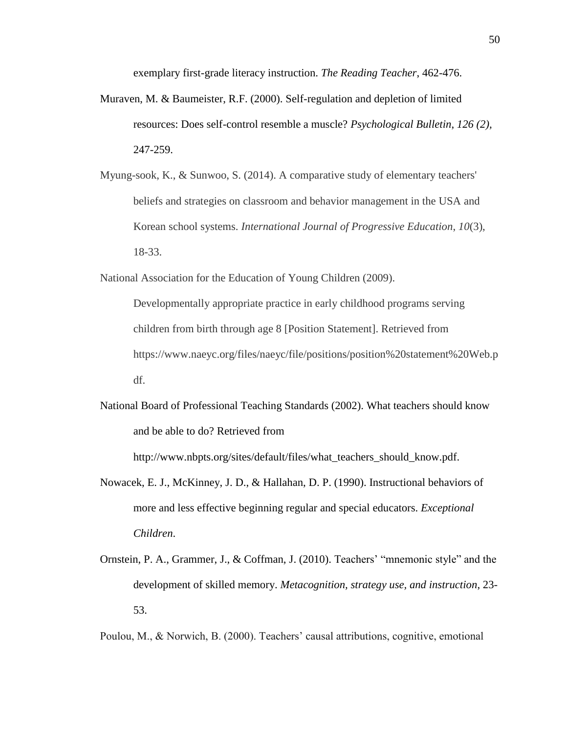exemplary first-grade literacy instruction. *The Reading Teacher*, 462-476.

- Muraven, M. & Baumeister, R.F. (2000). Self-regulation and depletion of limited resources: Does self-control resemble a muscle? *Psychological Bulletin*, *126 (2),*  247-259.
- Myung-sook, K., & Sunwoo, S. (2014). A comparative study of elementary teachers' beliefs and strategies on classroom and behavior management in the USA and Korean school systems. *International Journal of Progressive Education*, *10*(3), 18-33.

National Association for the Education of Young Children (2009).

Developmentally appropriate practice in early childhood programs serving children from birth through age 8 [Position Statement]. Retrieved from https://www.naeyc.org/files/naeyc/file/positions/position%20statement%20Web.p df.

National Board of Professional Teaching Standards (2002). What teachers should know and be able to do? Retrieved from

http://www.nbpts.org/sites/default/files/what\_teachers\_should\_know.pdf.

- Nowacek, E. J., McKinney, J. D., & Hallahan, D. P. (1990). Instructional behaviors of more and less effective beginning regular and special educators. *Exceptional Children*.
- Ornstein, P. A., Grammer, J., & Coffman, J. (2010). Teachers' "mnemonic style" and the development of skilled memory. *Metacognition, strategy use, and instruction*, 23- 53.

Poulou, M., & Norwich, B. (2000). Teachers' causal attributions, cognitive, emotional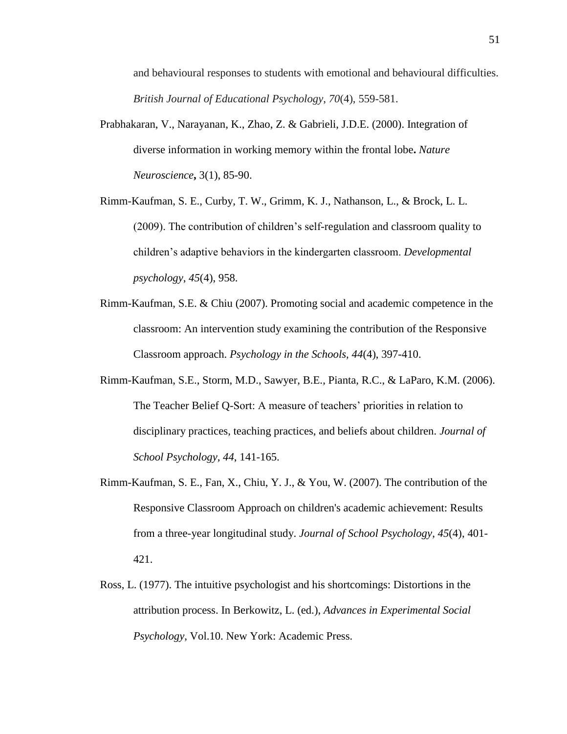and behavioural responses to students with emotional and behavioural difficulties. *British Journal of Educational Psychology*, *70*(4), 559-581.

- Prabhakaran, V., Narayanan, K., Zhao, Z. & Gabrieli, J.D.E. (2000). Integration of diverse information in working memory within the frontal lobe**.** *Nature Neuroscience***,** 3(1), 85-90.
- Rimm-Kaufman, S. E., Curby, T. W., Grimm, K. J., Nathanson, L., & Brock, L. L. (2009). The contribution of children's self-regulation and classroom quality to children's adaptive behaviors in the kindergarten classroom. *Developmental psychology*, *45*(4), 958.
- Rimm-Kaufman, S.E. & Chiu (2007). Promoting social and academic competence in the classroom: An intervention study examining the contribution of the Responsive Classroom approach. *Psychology in the Schools, 44*(4), 397-410.
- Rimm-Kaufman, S.E., Storm, M.D., Sawyer, B.E., Pianta, R.C., & LaParo, K.M. (2006). The Teacher Belief Q-Sort: A measure of teachers' priorities in relation to disciplinary practices, teaching practices, and beliefs about children. *Journal of School Psychology, 44*, 141-165.
- Rimm-Kaufman, S. E., Fan, X., Chiu, Y. J., & You, W. (2007). The contribution of the Responsive Classroom Approach on children's academic achievement: Results from a three-year longitudinal study. *Journal of School Psychology*, *45*(4), 401- 421.
- Ross, L. (1977). The intuitive psychologist and his shortcomings: Distortions in the attribution process. In Berkowitz, L. (ed.), *Advances in Experimental Social Psychology*, Vol.10. New York: Academic Press.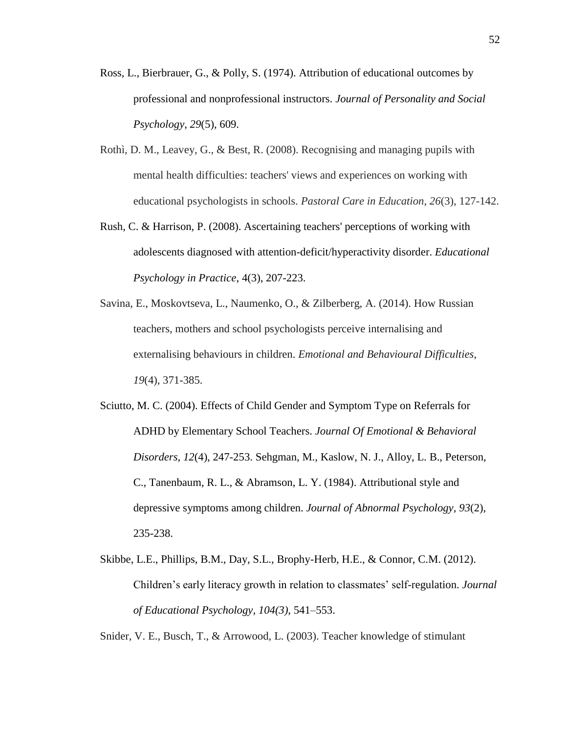- Ross, L., Bierbrauer, G., & Polly, S. (1974). Attribution of educational outcomes by professional and nonprofessional instructors. *Journal of Personality and Social Psychology*, *29*(5), 609.
- Rothì, D. M., Leavey, G., & Best, R. (2008). Recognising and managing pupils with mental health difficulties: teachers' views and experiences on working with educational psychologists in schools. *Pastoral Care in Education*, *26*(3), 127-142.
- Rush, C. & Harrison, P. (2008). Ascertaining teachers' perceptions of working with adolescents diagnosed with attention-deficit/hyperactivity disorder. *Educational Psychology in Practice*, 4(3), 207-223.
- Savina, E., Moskovtseva, L., Naumenko, O., & Zilberberg, A. (2014). How Russian teachers, mothers and school psychologists perceive internalising and externalising behaviours in children. *Emotional and Behavioural Difficulties*, *19*(4), 371-385.
- Sciutto, M. C. (2004). Effects of Child Gender and Symptom Type on Referrals for ADHD by Elementary School Teachers. *Journal Of Emotional & Behavioral Disorders*, *12*(4), 247-253. Sehgman, M., Kaslow, N. J., Alloy, L. B., Peterson, C., Tanenbaum, R. L., & Abramson, L. Y. (1984). Attributional style and depressive symptoms among children. *Journal of Abnormal Psychology*, *93*(2), 235-238.
- Skibbe, L.E., Phillips, B.M., Day, S.L., Brophy-Herb, H.E., & Connor, C.M. (2012). Children's early literacy growth in relation to classmates' self-regulation. *Journal of Educational Psychology, 104(3)*, 541–553.

Snider, V. E., Busch, T., & Arrowood, L. (2003). Teacher knowledge of stimulant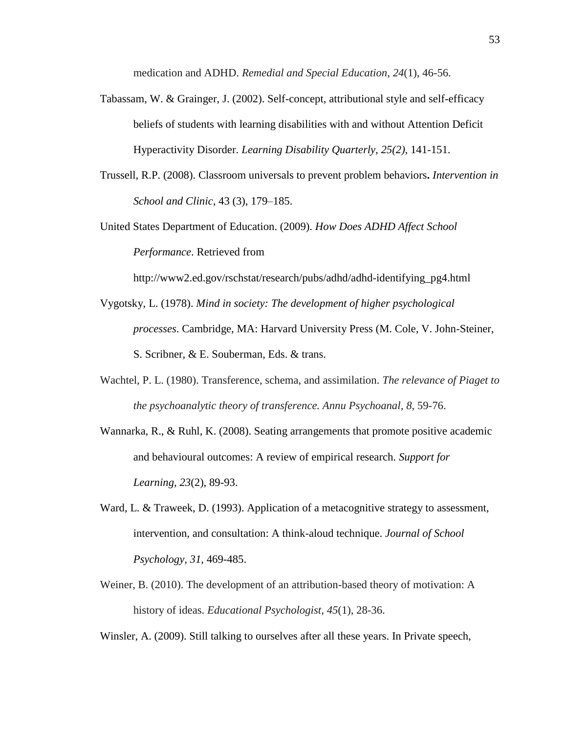medication and ADHD. *Remedial and Special Education*, *24*(1), 46-56.

- Tabassam, W. & Grainger, J. (2002). Self-concept, attributional style and self-efficacy beliefs of students with learning disabilities with and without Attention Deficit Hyperactivity Disorder. *Learning Disability Quarterly, 25(2),* 141-151.
- Trussell, R.P. (2008). Classroom universals to prevent problem behaviors**.** *Intervention in School and Clinic*, 43 (3), 179–185.
- United States Department of Education. (2009). *How Does ADHD Affect School Performance*. Retrieved from

http://www2.ed.gov/rschstat/research/pubs/adhd/adhd-identifying\_pg4.html

- Vygotsky, L. (1978). *Mind in society: The development of higher psychological processes*. Cambridge, MA: Harvard University Press (M. Cole, V. John-Steiner, S. Scribner, & E. Souberman, Eds. & trans.
- Wachtel, P. L. (1980). Transference, schema, and assimilation. *The relevance of Piaget to the psychoanalytic theory of transference. Annu Psychoanal*, *8*, 59-76.
- Wannarka, R., & Ruhl, K. (2008). Seating arrangements that promote positive academic and behavioural outcomes: A review of empirical research. *Support for Learning*, *23*(2), 89-93.
- Ward, L. & Traweek, D. (1993). Application of a metacognitive strategy to assessment, intervention, and consultation: A think-aloud technique. *Journal of School Psychology, 31*, 469-485.
- Weiner, B. (2010). The development of an attribution-based theory of motivation: A history of ideas. *Educational Psychologist*, *45*(1), 28-36.

Winsler, A. (2009). Still talking to ourselves after all these years. In Private speech,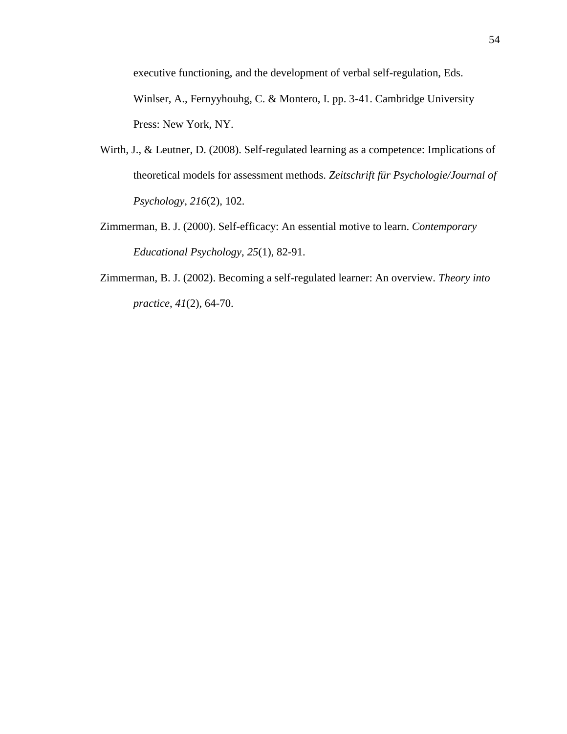executive functioning, and the development of verbal self-regulation, Eds. Winlser, A., Fernyyhouhg, C. & Montero, I. pp. 3-41. Cambridge University Press: New York, NY.

- Wirth, J., & Leutner, D. (2008). Self-regulated learning as a competence: Implications of theoretical models for assessment methods. *Zeitschrift für Psychologie/Journal of Psychology*, *216*(2), 102.
- Zimmerman, B. J. (2000). Self-efficacy: An essential motive to learn. *Contemporary Educational Psychology*, *25*(1), 82-91.
- Zimmerman, B. J. (2002). Becoming a self-regulated learner: An overview. *Theory into practice*, *41*(2), 64-70.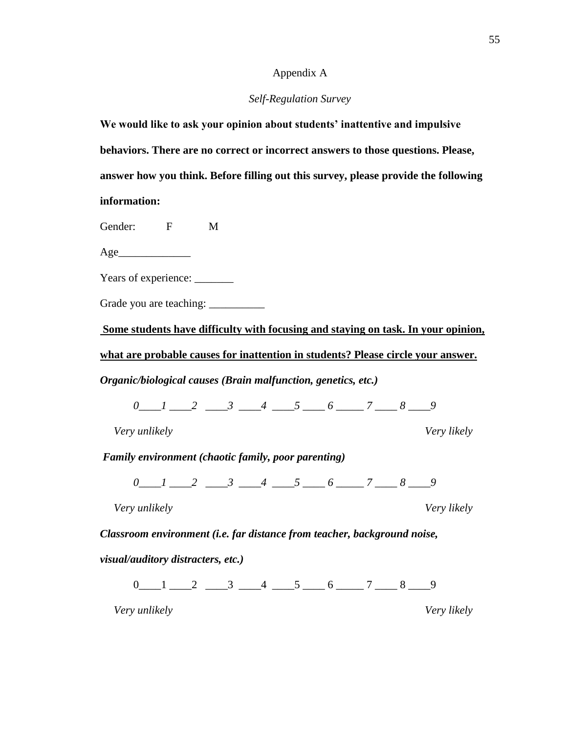### Appendix A

# *Self-Regulation Survey*

**We would like to ask your opinion about students' inattentive and impulsive behaviors. There are no correct or incorrect answers to those questions. Please, answer how you think. Before filling out this survey, please provide the following information:** 

Gender: F M

 $Age$ 

Years of experience: \_\_\_\_\_\_\_

Grade you are teaching: \_\_\_\_\_\_\_\_\_\_

**Some students have difficulty with focusing and staying on task. In your opinion,** 

**what are probable causes for inattention in students? Please circle your answer.**

*Organic/biological causes (Brain malfunction, genetics, etc.)* 

*0\_\_\_\_1 \_\_\_\_2 \_\_\_\_3 \_\_\_\_4 \_\_\_\_5 \_\_\_\_ 6 \_\_\_\_\_ 7 \_\_\_\_ 8 \_\_\_\_9*

 *Very unlikely Very likely*

*Family environment (chaotic family, poor parenting)*

*0\_\_\_\_1 \_\_\_\_2 \_\_\_\_3 \_\_\_\_4 \_\_\_\_5 \_\_\_\_ 6 \_\_\_\_\_ 7 \_\_\_\_ 8 \_\_\_\_9*

 *Very unlikely Very likely*

*Classroom environment (i.e. far distance from teacher, background noise,* 

*visual/auditory distracters, etc.)* 

 $0 \quad 1 \quad 2 \quad 3 \quad 4 \quad 5 \quad 6 \quad 7 \quad 8 \quad 9$ 

 *Very unlikely Very likely*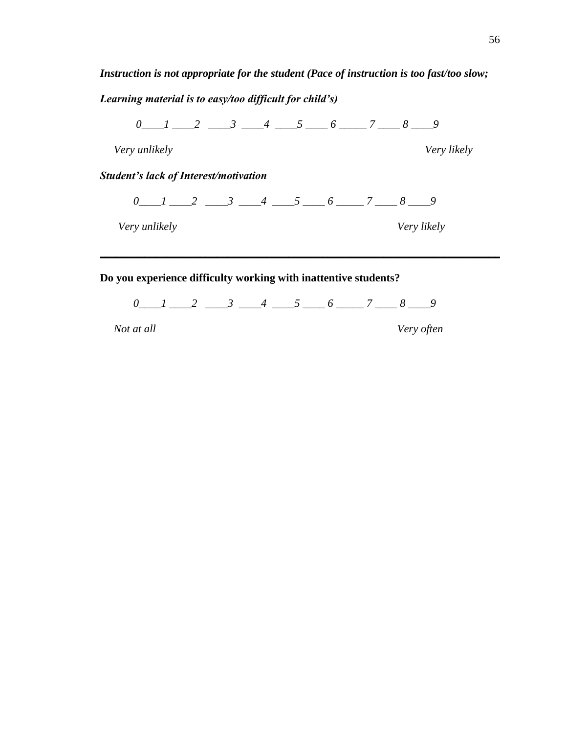| Learning material is to easy/too difficult for child's) |  |  |                                                                                      |  |             |
|---------------------------------------------------------|--|--|--------------------------------------------------------------------------------------|--|-------------|
|                                                         |  |  | $0 \qquad 1 \qquad 2 \qquad 3 \qquad 4 \qquad 5 \qquad 6 \qquad 7 \qquad 8 \qquad 9$ |  |             |
| Very unlikely                                           |  |  |                                                                                      |  | Very likely |
| <b>Student's lack of Interest/motivation</b>            |  |  |                                                                                      |  |             |
|                                                         |  |  | $0 \t 1 \t 2 \t 3 \t 4 \t 5 \t 6 \t 7 \t 8 \t 9$                                     |  |             |
| Very unlikely                                           |  |  |                                                                                      |  | Very likely |

# **Do you experience difficulty working with inattentive students?**

*0\_\_\_\_1 \_\_\_\_2 \_\_\_\_3 \_\_\_\_4 \_\_\_\_5 \_\_\_\_ 6 \_\_\_\_\_ 7 \_\_\_\_ 8 \_\_\_\_9 Not at all Very often*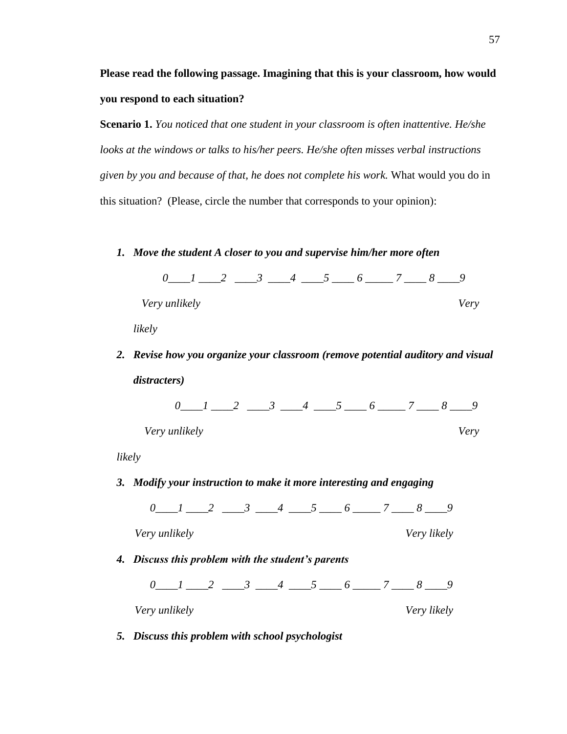**Please read the following passage. Imagining that this is your classroom, how would you respond to each situation?** 

**Scenario 1.** *You noticed that one student in your classroom is often inattentive. He/she looks at the windows or talks to his/her peers. He/she often misses verbal instructions given by you and because of that, he does not complete his work.* What would you do in this situation? (Please, circle the number that corresponds to your opinion):

*1. Move the student A closer to you and supervise him/her more often*



*likely* 

*2. Revise how you organize your classroom (remove potential auditory and visual distracters)*

|               |  | $\sim$ 3 | $\overline{4}$ 5 |  |  |  |
|---------------|--|----------|------------------|--|--|--|
| Very unlikely |  |          |                  |  |  |  |

*likely*

*3. Modify your instruction to make it more interesting and engaging*

*0\_\_\_\_1 \_\_\_\_2 \_\_\_\_3 \_\_\_\_4 \_\_\_\_5 \_\_\_\_ 6 \_\_\_\_\_ 7 \_\_\_\_ 8 \_\_\_\_9*

 *Very unlikely Very likely*

*4. Discuss this problem with the student's parents*

*0\_\_\_\_1 \_\_\_\_2 \_\_\_\_3 \_\_\_\_4 \_\_\_\_5 \_\_\_\_ 6 \_\_\_\_\_ 7 \_\_\_\_ 8 \_\_\_\_9*

 *Very unlikely Very likely*

*5. Discuss this problem with school psychologist*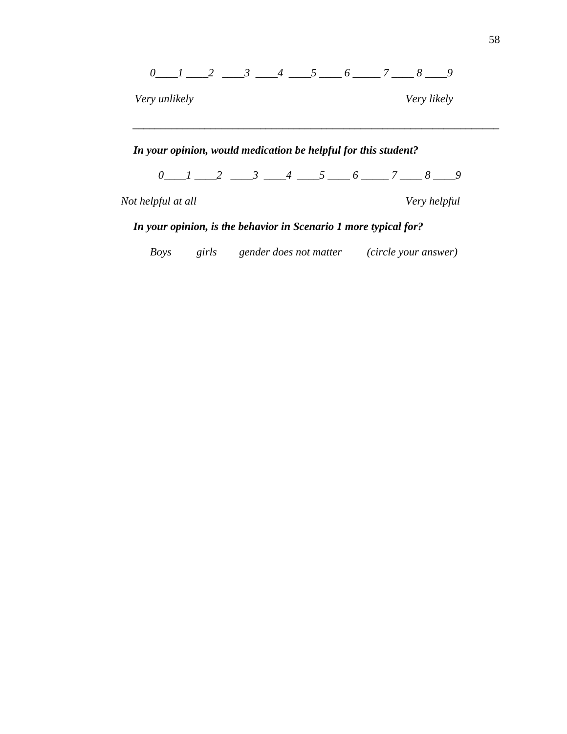

# *In your opinion, would medication be helpful for this student?*

*0\_\_\_1 \_\_\_2 \_\_\_3 \_\_\_4 \_\_\_5 \_\_\_6 \_\_\_\_7 \_\_\_\_8 \_\_\_9* 

*Not helpful at all Very helpful*

# *In your opinion, is the behavior in Scenario 1 more typical for?*

 *Boys girls gender does not matter (circle your answer)*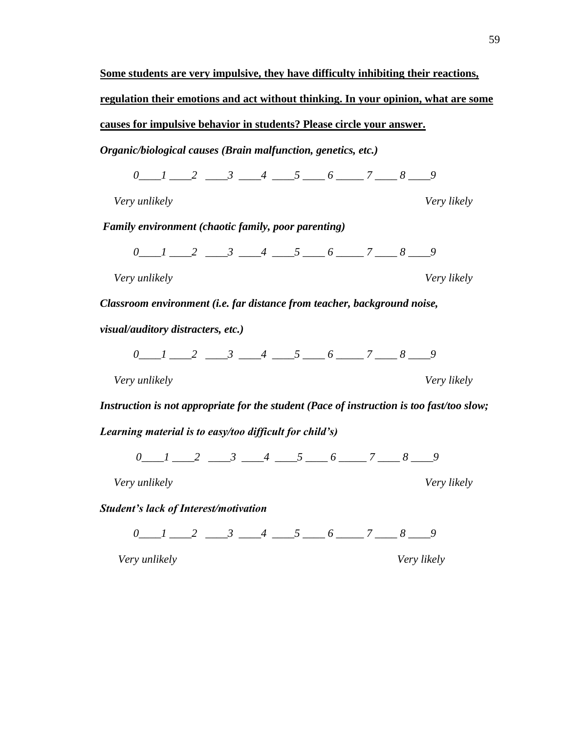**Some students are very impulsive, they have difficulty inhibiting their reactions, regulation their emotions and act without thinking. In your opinion, what are some causes for impulsive behavior in students? Please circle your answer.** *Organic/biological causes (Brain malfunction, genetics, etc.) 0\_\_\_\_1 \_\_\_\_2 \_\_\_\_3 \_\_\_\_4 \_\_\_\_5 \_\_\_\_ 6 \_\_\_\_\_ 7 \_\_\_\_ 8 \_\_\_\_9 Very unlikely Very likely Family environment (chaotic family, poor parenting) 0\_\_\_\_1 \_\_\_\_2 \_\_\_\_3 \_\_\_\_4 \_\_\_\_5 \_\_\_\_ 6 \_\_\_\_\_ 7 \_\_\_\_ 8 \_\_\_\_9 Very unlikely Very likely Classroom environment (i.e. far distance from teacher, background noise, visual/auditory distracters, etc.) 0\_\_\_\_1 \_\_\_\_2 \_\_\_\_3 \_\_\_\_4 \_\_\_\_5 \_\_\_\_ 6 \_\_\_\_\_ 7 \_\_\_\_ 8 \_\_\_\_9 Very unlikely Very likely Instruction is not appropriate for the student (Pace of instruction is too fast/too slow; Learning material is to easy/too difficult for child's) 0 1* 2 3 4 5 6 7 8 9

 *Very unlikely Very likely*

*Student's lack of Interest/motivation*

*0\_\_\_\_1 \_\_\_\_2 \_\_\_\_3 \_\_\_\_4 \_\_\_\_5 \_\_\_\_ 6 \_\_\_\_\_ 7 \_\_\_\_ 8 \_\_\_\_9*

 *Very unlikely Very likely*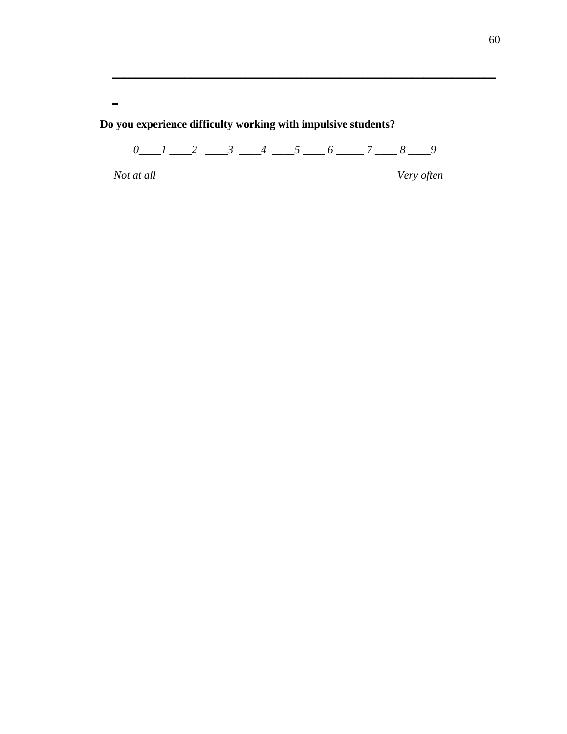**Do you experience difficulty working with impulsive students?** 

*0\_\_\_\_1 \_\_\_\_2 \_\_\_\_3 \_\_\_\_4 \_\_\_\_5 \_\_\_\_ 6 \_\_\_\_\_ 7 \_\_\_\_ 8 \_\_\_\_9*

**\_\_\_\_\_\_\_\_\_\_\_\_\_\_\_\_\_\_\_\_\_\_\_\_\_\_\_\_\_\_\_\_\_\_\_\_\_\_\_\_\_\_\_\_\_\_\_\_\_\_\_\_\_\_\_\_\_\_\_\_\_\_\_\_\_\_\_\_\_**

**\_**

 *Not at all Very often*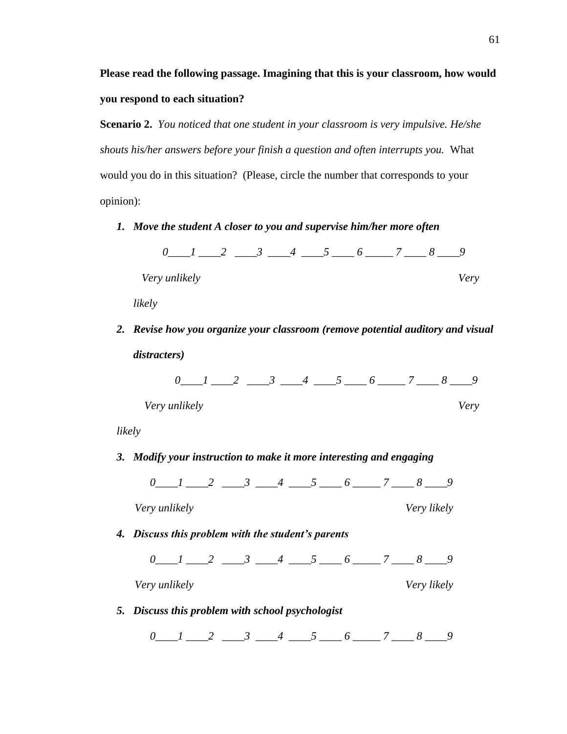**Please read the following passage. Imagining that this is your classroom, how would you respond to each situation?** 

**Scenario 2.** *You noticed that one student in your classroom is very impulsive. He/she shouts his/her answers before your finish a question and often interrupts you.* What would you do in this situation? (Please, circle the number that corresponds to your opinion):

*1. Move the student A closer to you and supervise him/her more often*

|               | $\theta$ |  |  |  | 2 3 4 5 6 7 8 9 |  |
|---------------|----------|--|--|--|-----------------|--|
| Very unlikely |          |  |  |  |                 |  |

*likely* 

*2. Revise how you organize your classroom (remove potential auditory and visual distracters)*

|               |  |  |  | 2 3 4 5 6 7 8 9 |  |
|---------------|--|--|--|-----------------|--|
| Very unlikely |  |  |  |                 |  |

*likely*

*3. Modify your instruction to make it more interesting and engaging*

*0\_\_\_\_1 \_\_\_\_2 \_\_\_\_3 \_\_\_\_4 \_\_\_\_5 \_\_\_\_ 6 \_\_\_\_\_ 7 \_\_\_\_ 8 \_\_\_\_9*

 *Very unlikely Very likely*

*4. Discuss this problem with the student's parents*

*0\_\_\_\_1 \_\_\_\_2 \_\_\_\_3 \_\_\_\_4 \_\_\_\_5 \_\_\_\_ 6 \_\_\_\_\_ 7 \_\_\_\_ 8 \_\_\_\_9*

 *Very unlikely Very likely*

*5. Discuss this problem with school psychologist*

*0\_\_\_\_1 \_\_\_\_2 \_\_\_\_3 \_\_\_\_4 \_\_\_\_5 \_\_\_\_ 6 \_\_\_\_\_ 7 \_\_\_\_ 8 \_\_\_\_9*